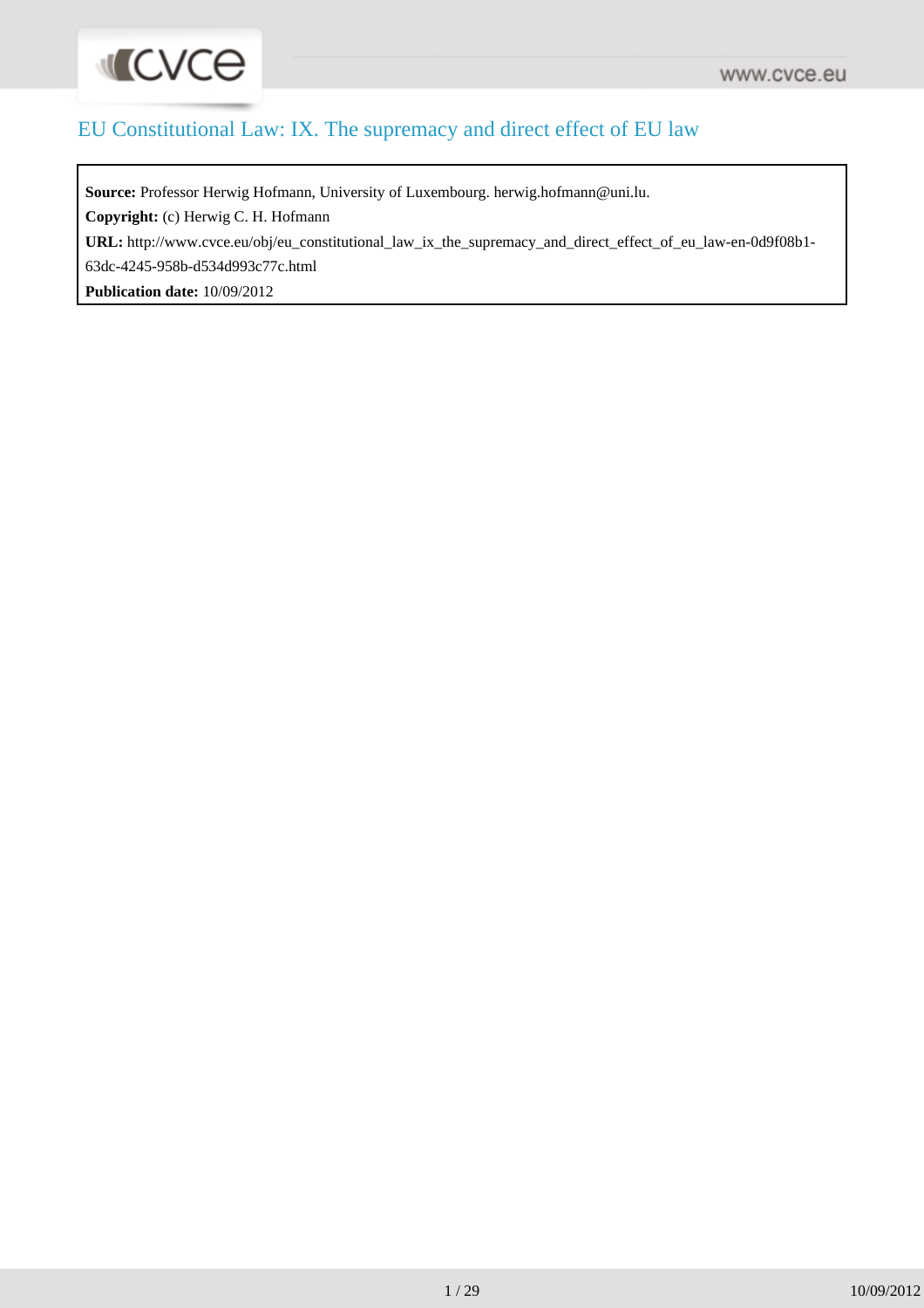

#### EU Constitutional Law: IX. The supremacy and direct effect of EU law

**Source:** Professor Herwig Hofmann, University of Luxembourg. herwig.hofmann@uni.lu.

**Copyright:** (c) Herwig C. H. Hofmann

**URL:** [http://www.cvce.eu/obj/eu\\_constitutional\\_law\\_ix\\_the\\_supremacy\\_and\\_direct\\_effect\\_of\\_eu\\_law-en-0d9f08b1-](http://www.cvce.eu/obj/eu_constitutional_law_ix_the_supremacy_and_direct_effect_of_eu_law-en-0d9f08b1-63dc-4245-958b-d534d993c77c.html)

[63dc-4245-958b-d534d993c77c.html](http://www.cvce.eu/obj/eu_constitutional_law_ix_the_supremacy_and_direct_effect_of_eu_law-en-0d9f08b1-63dc-4245-958b-d534d993c77c.html)

**Publication date:** 10/09/2012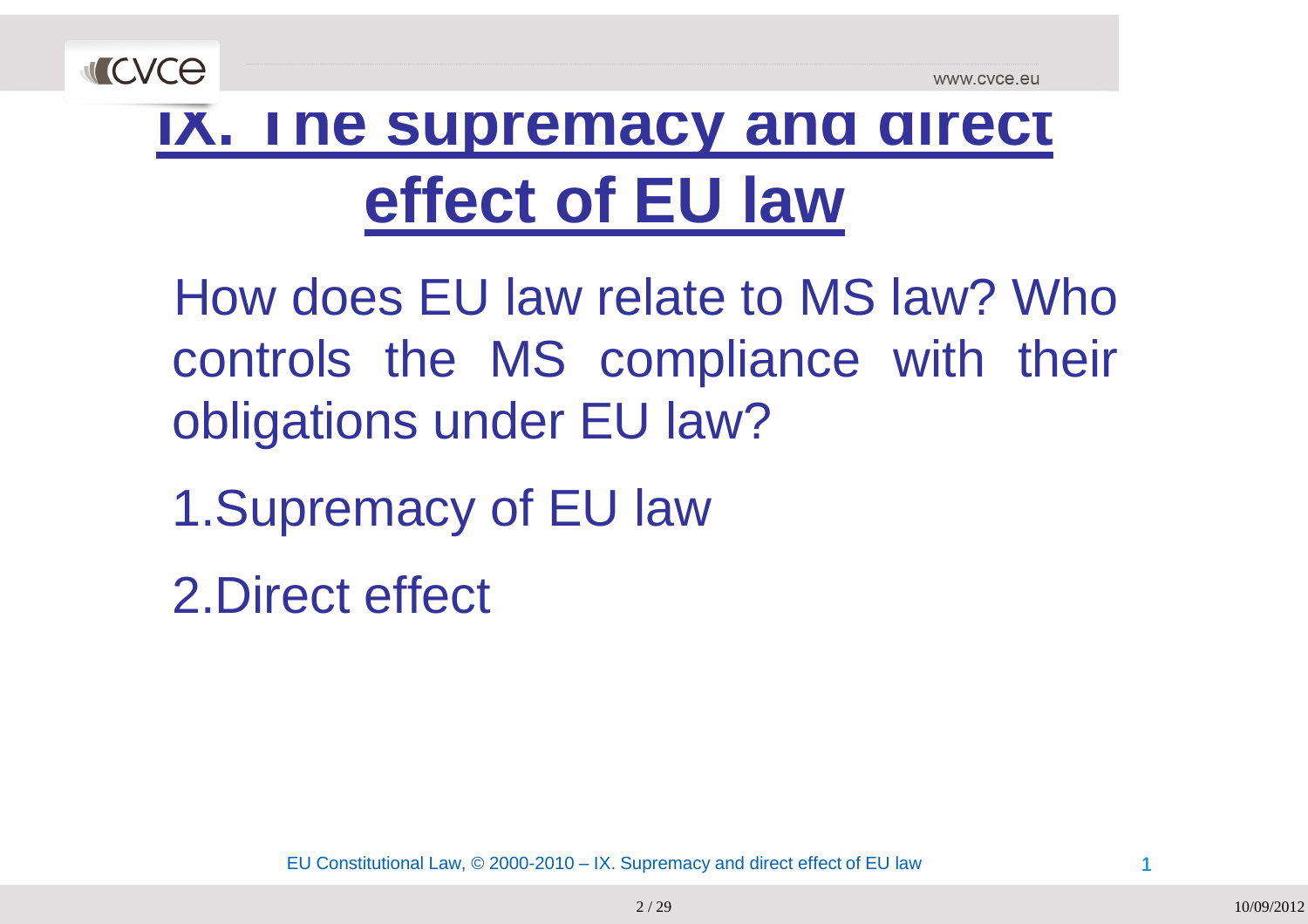

#### **IX. The supremacy and direct effect of EU law**

How does EU law relate to MS law? Who controls the MS compliance with their obligations under EU law?

1.Supremacy of EU law

2.Direct effect

EU Constitutional Law, © 2000-2010 – IX. Supremacy and direct effect of EU law $\sim$  1

2 / 29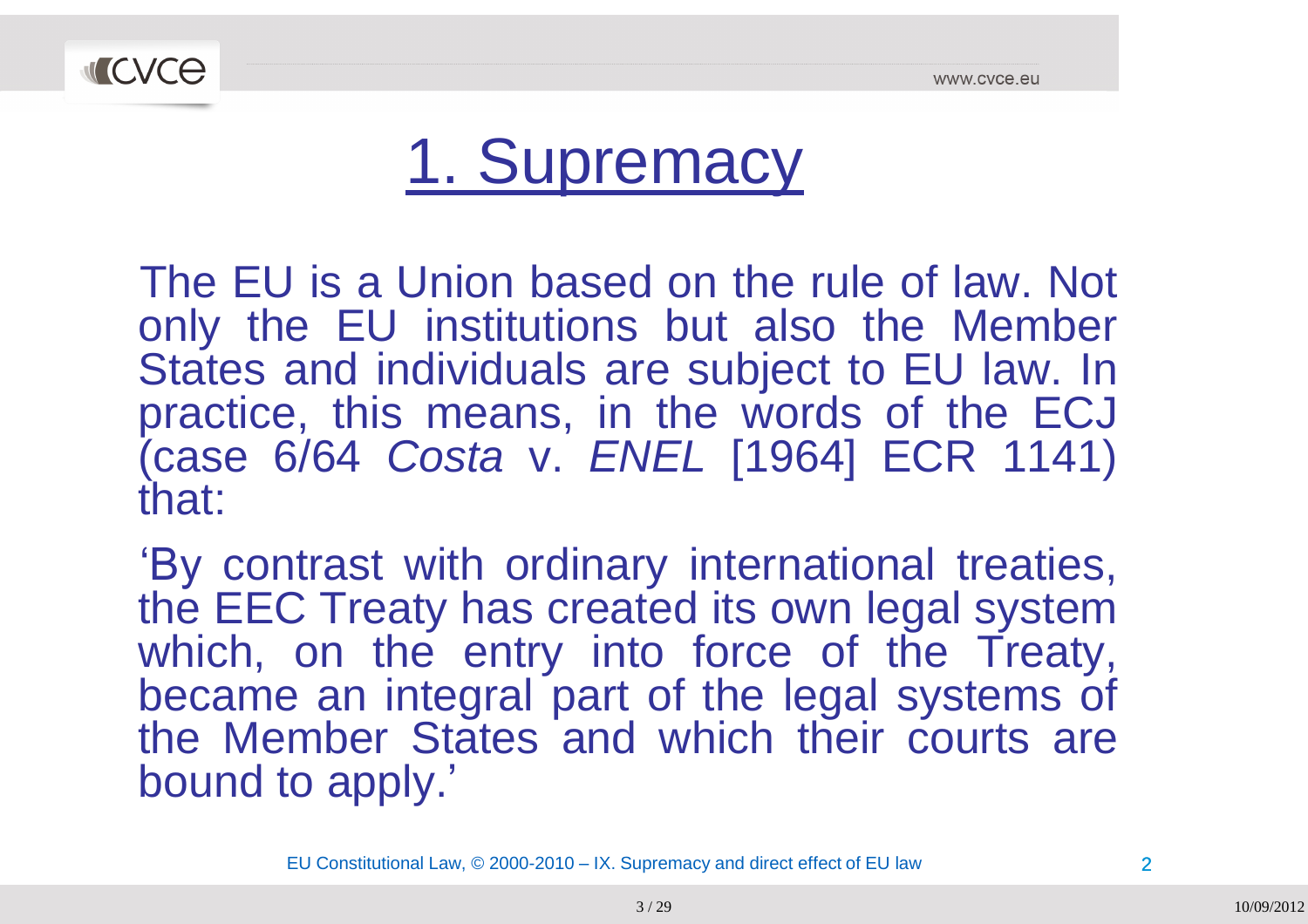

#### 1. Supremacy

The EU is a Union based on the rule of law. Not<br>only the EU institutions, but also the Member only the EU institutions but also the Member<br>States and individuals are subject to EU law. In States and individuals are subject to EU law. In<br>practice, this means, in the words of the EC I practice, this means, in the words of the ECJ<br>(sees 6/64 Ceate v. ENEL 510641 ECR 1141) (case 6/64 *Costa* v. *ENEL* [1964] ECR 1141) that:

'By contrast with ordinary international treaties,<br>the FFC Treaty has greated its own legal avatam the EEC Treaty has created its own legal system<br>which on the entry into force of the Treaty which, on the entry into force of the Treaty, became an integral part of the legal systems of<br>the Member States and which their seurte are the Member States and which their courts are bound to apply.'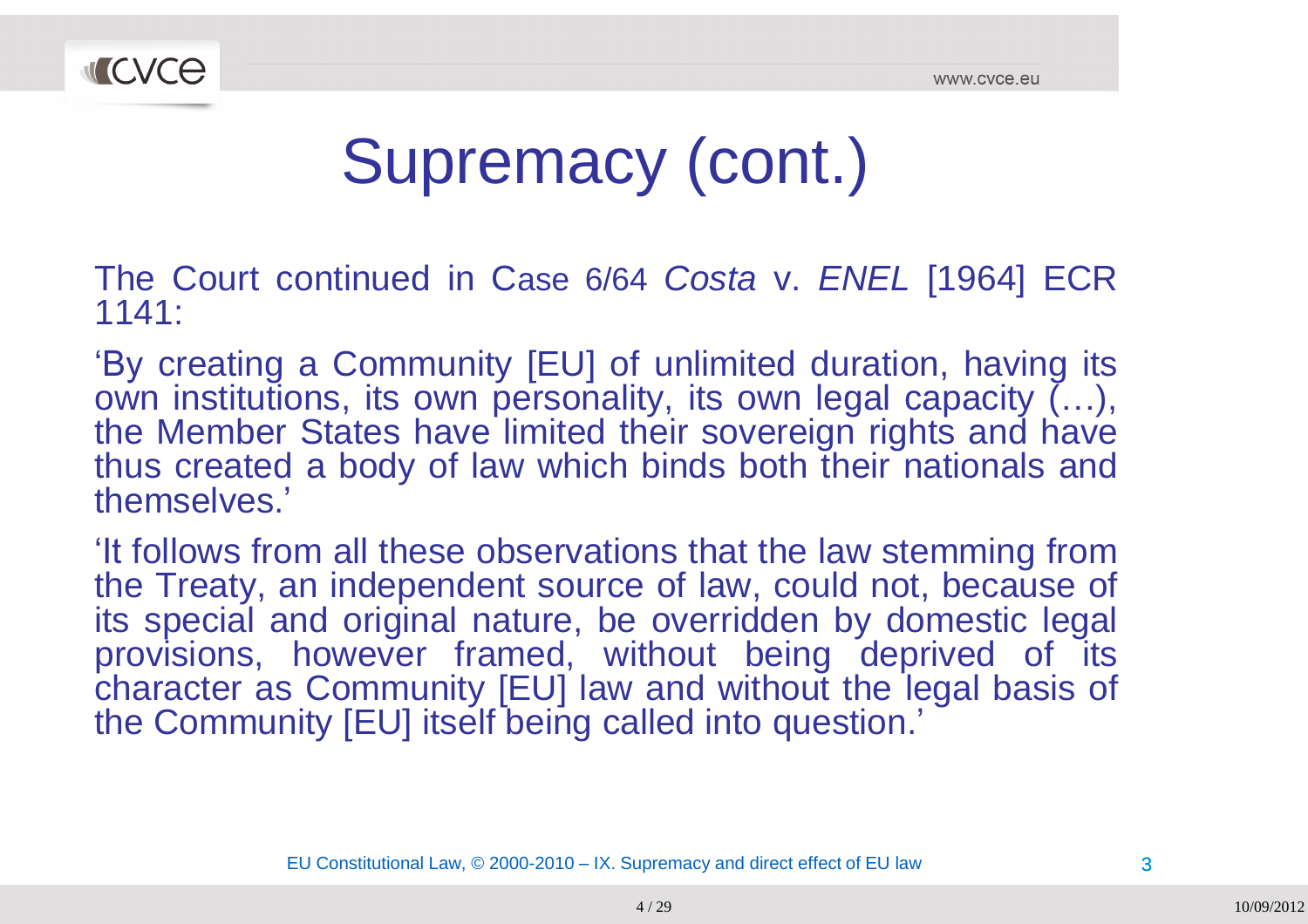

# Supremacy (cont.)

The Court continued in <sup>C</sup>ase 6/64 *Costa* v. *ENEL* [1964] ECR1141:

"By creating <sup>a</sup> Community [EU] of unlimited duration, having its own institutions, its own personality, its own legal capacity (…), the Member States have limited their sovereign rights and have thus created a body of law which binds both their nationals and<br>themselves ' themselves."

It follows from all these observations that the law stemming from<br>the Treaty, an independent source of law, could not, because of the Treaty, an independent source of law, could not, because of<br>its apacial and ariginal nature, he averridden by democtic legal its special and original nature, be overridden by domestic legal provisions, however framed, without being deprived of its character as Community [EU] law and without the legal basis of<br>the Community [ELI] itself being called into question,' the Community [EU] itself being called into question.'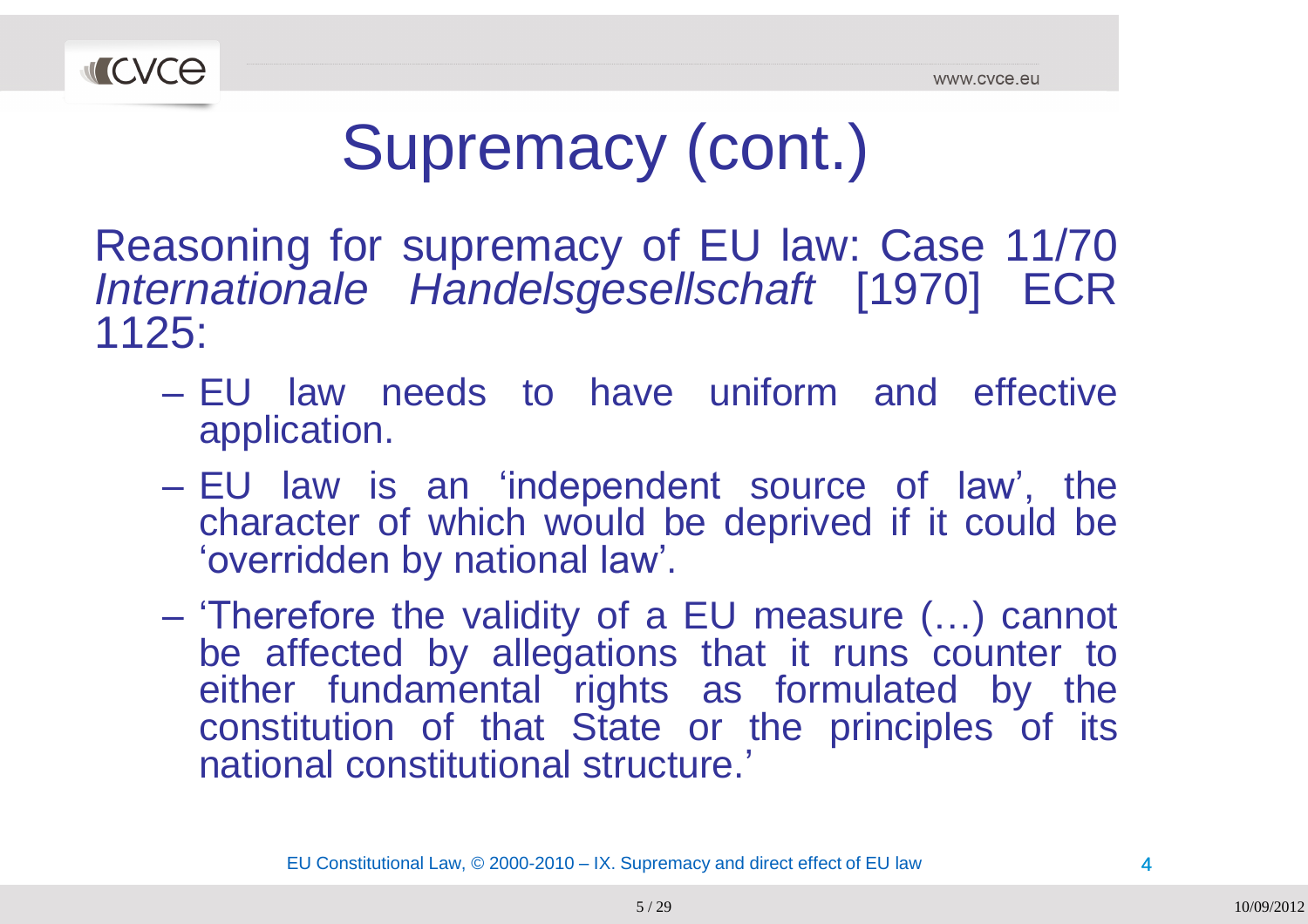

# Supremacy (cont.)

Reasoning for supremacy of EU law: Case 11/70<br>Internationale, Handelsgesellschaft, [1970], ECR *Internationale Handelsgesellschaft* [1970] ECR1125:

- EU law needs to have uniform and effective<br>capplication application.
- EU law is an "independent source of law", the character of which would be deprived if it could be<br>'everidden.by.patienal.low' 'overridden by national law'.
- 'Therefore the validity of a EU measure (...) cannot<br>he affected by allegations that it runs counter to be affected by allegations that it runs counter to either fundamental rights as formulated by the constitution of that State or the principles of its national constitutional structure.'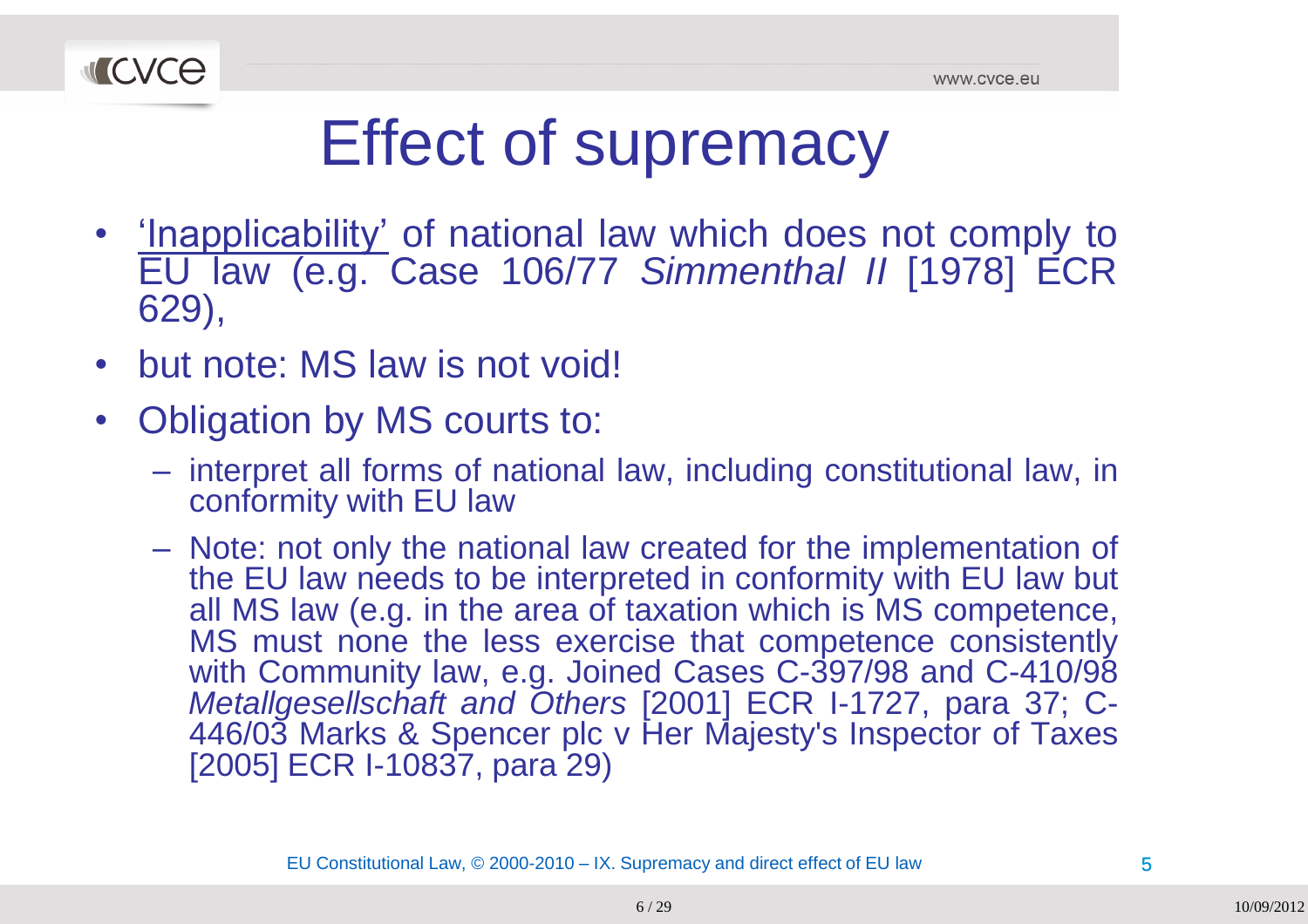

# Effect of supremacy

- <u>'Inapplicability'</u> of national law which does not comply to<br>ELL Jaw (e.g. Case 106/77 Simmenthal II [1978] ECR EU law (e.g. Case 106/77 *Simmenthal II* [1978] ECR 629),
- $\bullet$ • but note: MS law is not void!
- $\bullet$ • Obligation by MS courts to:
	- –- interpret all forms of national law, including constitutional law, in conformity with EU law
	- Note: not only the national law created for the implementation of<br>the ELLIaw peeds to be interpreted in conformity with ELLIaw but the EU law needs to be interpreted in conformity with EU law but<br>all MS law (e.g. in the area of taxation which is MS competence all MS law (e.g. in the area of taxation which is MS competence,<br>MS must none the less exercise that competence consistently MS must none the less exercise that competence consistently<br>with Community law a.g., loined Cases C.397/98 and C.410/98 with Community law, e.g. Joined Cases C-397/98 and C-410/98 *Metallgesellschaft and Others* [2001] ECR I-1727, para 37; C-446/03 Marks & Spencer plc <sup>v</sup> Her Majesty's Inspector of Taxes [2005] ECR I-10837, para 29)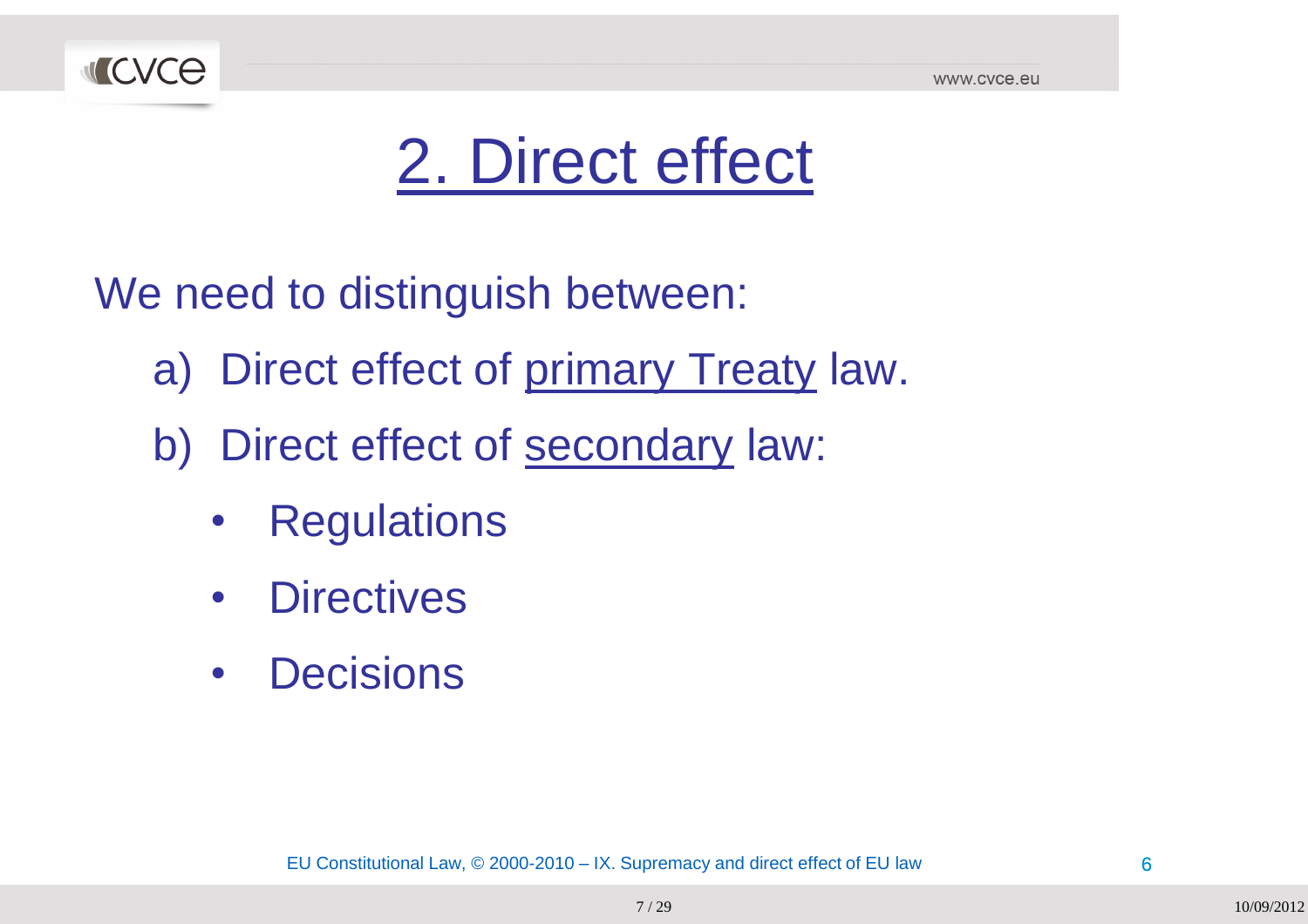

## 2. Direct effect

We need to distinguish between:

- a) Direct effect of <u>primary Treaty</u> law.
- b) Direct effect of **secondary** law:
	- $\bullet$ **Regulations**
	- $\bullet$ **Directives**
	- $\bullet$ **Decisions**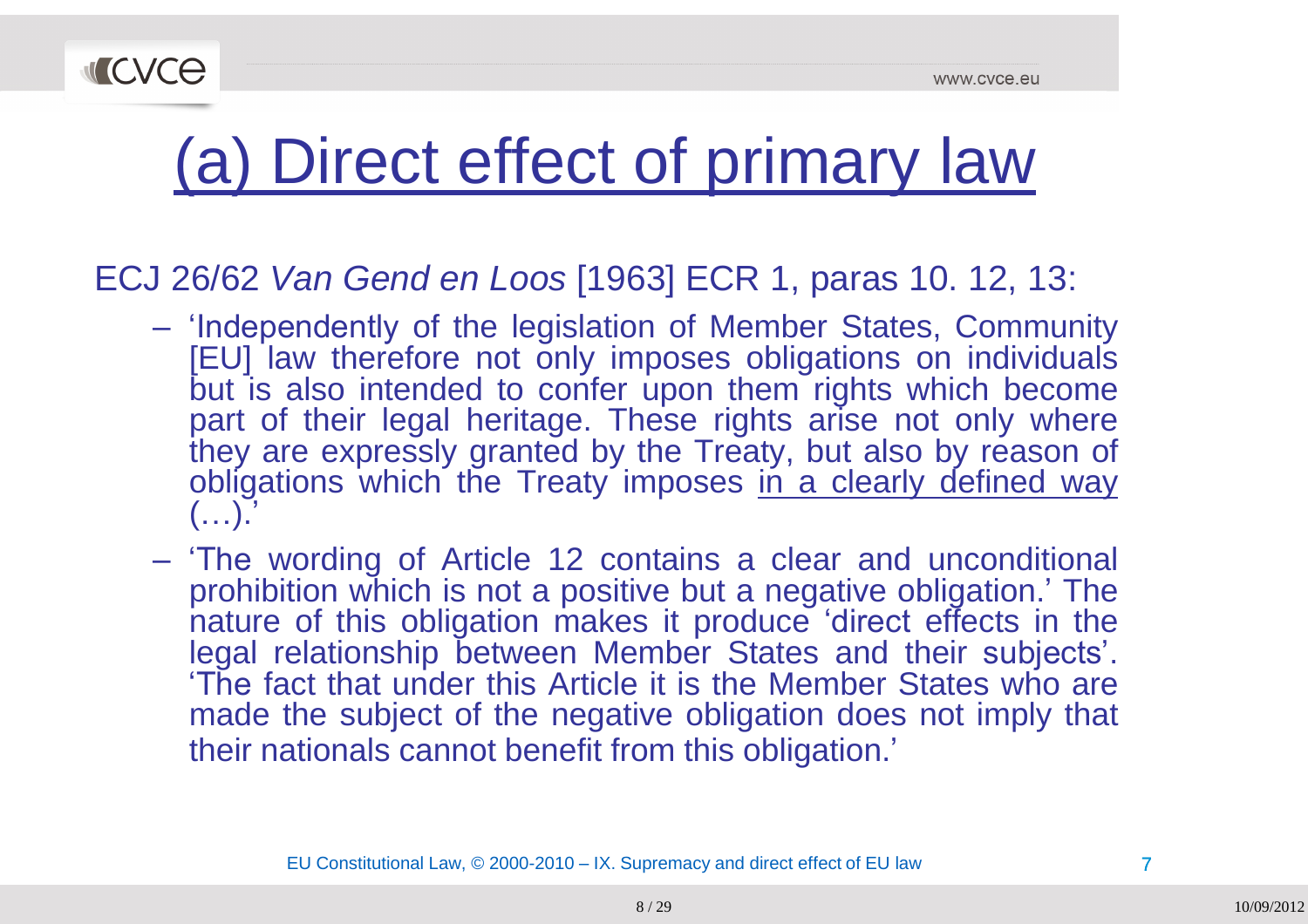

# (a) Direct effect of primary law

#### ECJ 26/62 *Van Gend en Loos* [1963] ECR 1, paras 10. 12, 13:

- 'Independently of the legislation of Member States, Community<br>
IFUL leve therefore not only impeases obligations on individuals [EU] law therefore not only imposes obligations on individuals but is also intended to confer upon them rights which become<br>part of their legal heritage. These rights arise not only where part of their legal heritage. These rights arise not only where<br>they are everessly grapted by the Treaty but also by resears of they are expressly granted by the Treaty, but also by reason of obligations which the Treaty imposes in a clearly defined way  $($ ...)."
- 'The wording of Article 12 contains a clear and unconditional<br>example: in pate positive but a pagetive obligation,' The prohibition which is not a positive but a negative obligation.' The nature of this obligation makes it produce 'direct effects in the<br>legal relationship hatwoon Mambar States and their subjects' legal relationship between Member States and their subjects'.<br>The fect that under this Article it is the Member States who are The fact that under this Article it is the Member States who are<br>made the subject of the nagative obligation deep not imply that made the subject of the negative obligation does not imply that their nationals cannot benefit from this obligation.'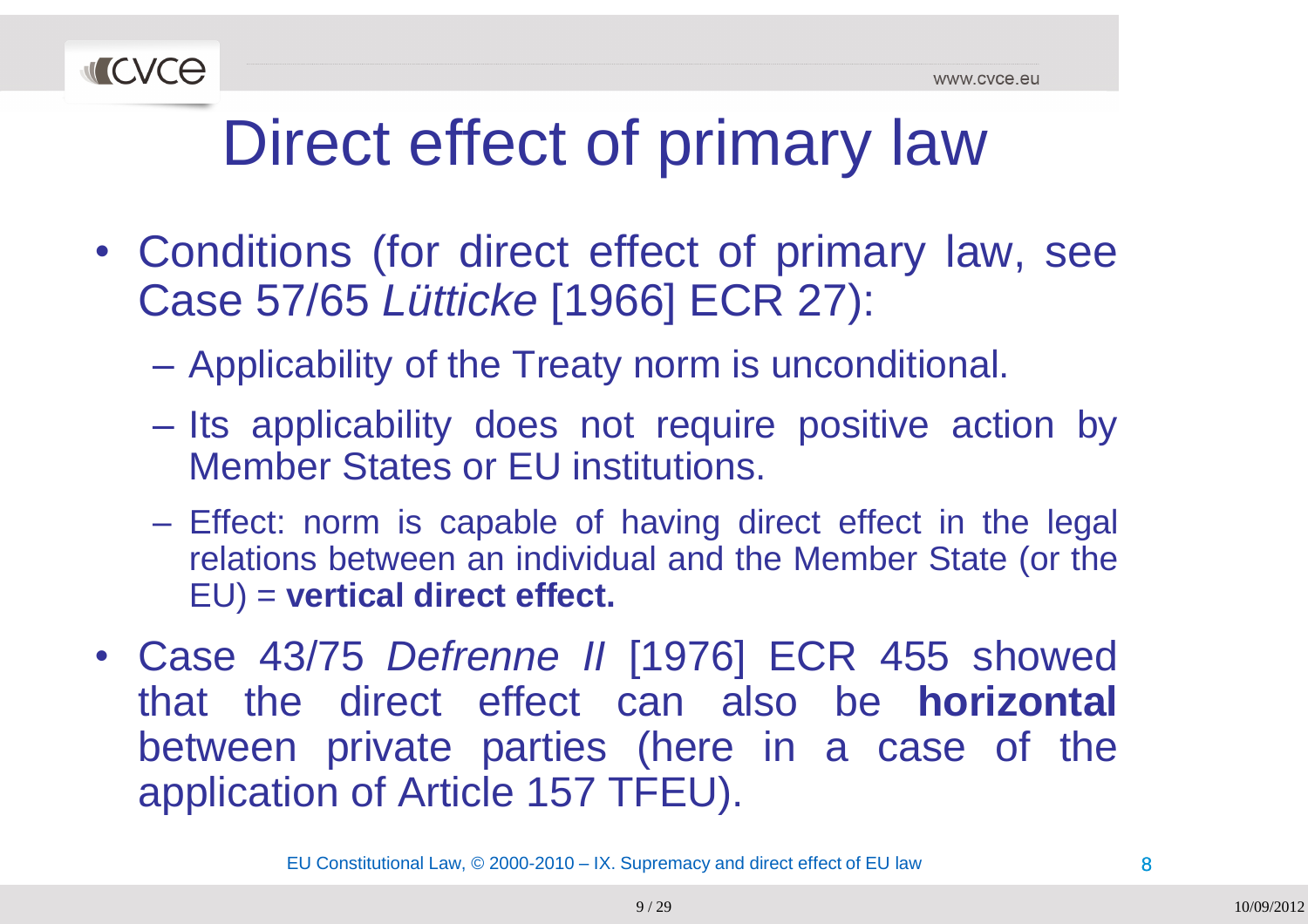

# Direct effect of primary law

- Conditions (for direct effect of primary law, see Case 57/65 *Lütticke* [1966] ECR 27):
	- –Applicability of the Treaty norm is unconditional.
	- –- Its applicability does not require positive action by Member States or EU institutions.
	- Effect: norm is capable of having direct effect in the legal<br>relations between an individual and the Member State (or the relations between an individual and the Member State (or the EU) <sup>=</sup> **vertical direct effect.**
- Case 43/75 *Defrenne II* [1976] ECR <sup>455</sup> showed that the direct effect can also be **horizontal** between private parties (here in a case of the application of Article <sup>157</sup> TFEU).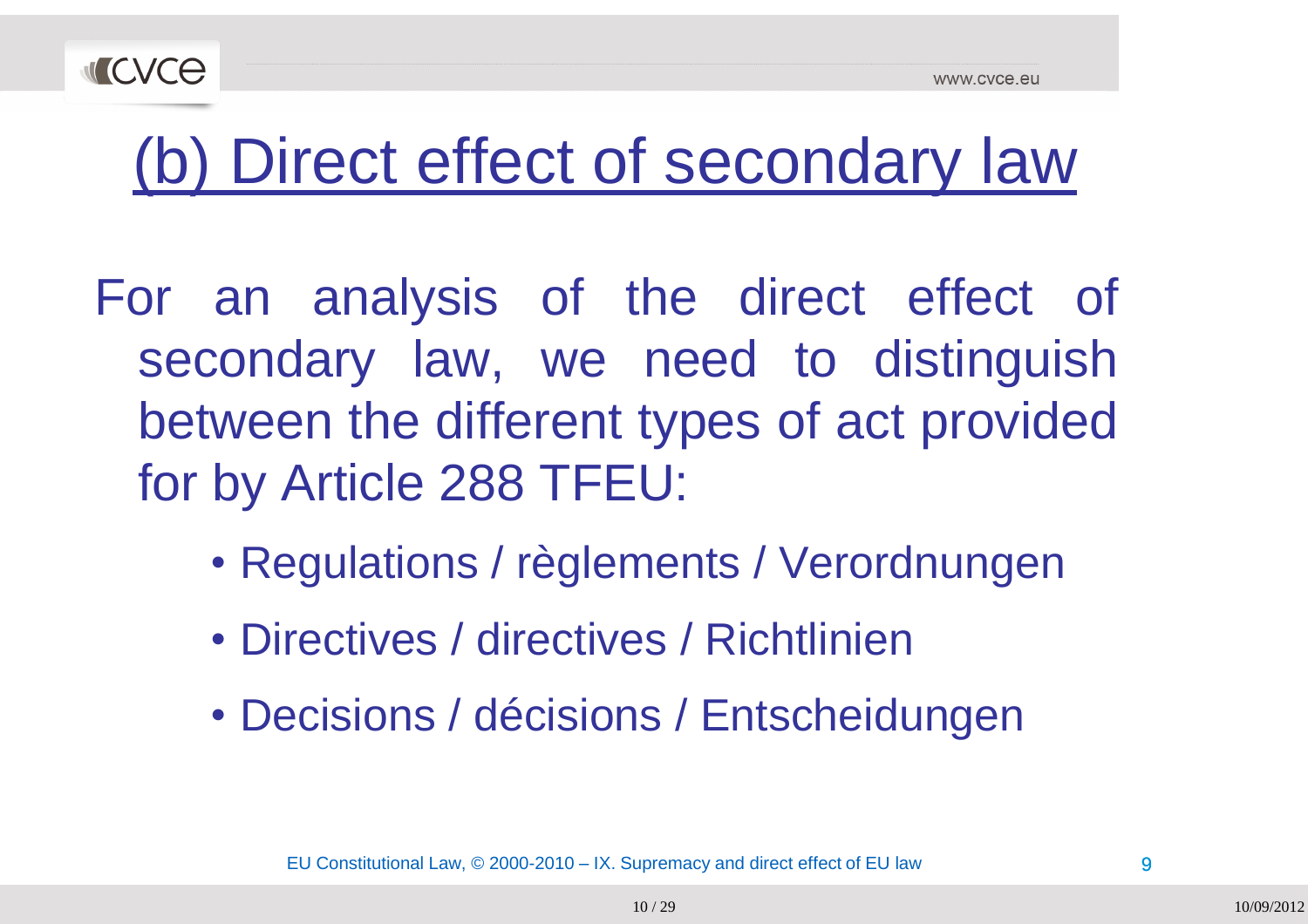



## (b) Direct effect of secondary law

For an analysis of the direct effect of secondary law, we need to distinguish between the different types of act provided for by Article <sup>288</sup> TFEU:

- Regulations / règlements / Verordnungen
- Directives / directives / Richtlinien
- Decisions / décisions / Entscheidungen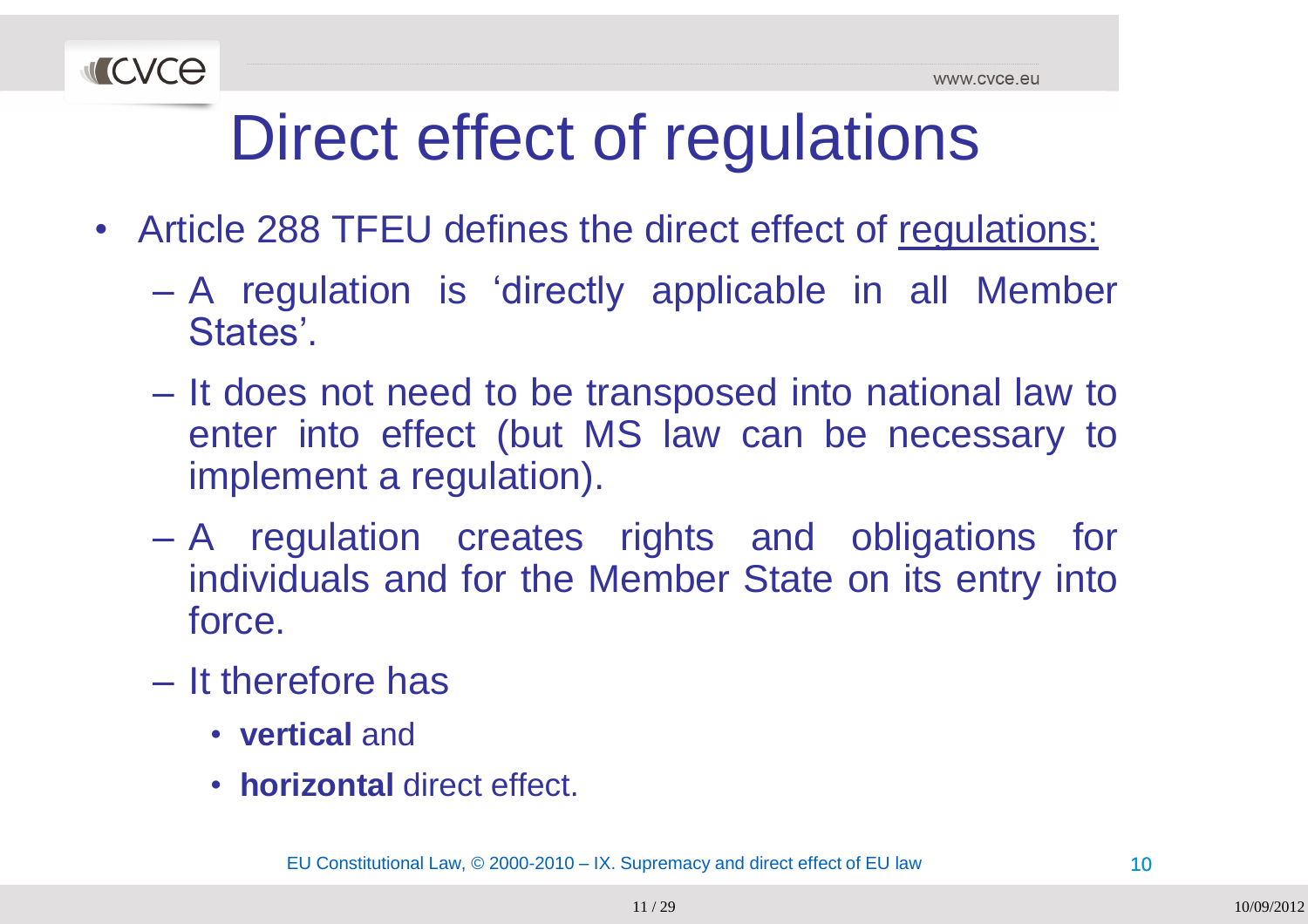

# Direct effect of regulations

- Article 288 TFEU defines the direct effect of regulations:
	- –- A regulation is 'directly applicable in all Member<br>Ctates' States'.
	- $\mathcal{L}_{\mathcal{A}}$  , and the set of  $\mathcal{L}_{\mathcal{A}}$ - It does not need to be transposed into national law to<br>enter into effect (but MS Jaw san be necessary to enter into effect (but MS law can be necessary to<br>implement a requistion) implement <sup>a</sup> regulation).
	- $\mathcal{L}_{\mathcal{A}}$ - A regulation creates rights and obligations for individuals and for the Member State on its entry into force.
	- – $-$  It therefore has
		- **vertical** and
		- **horizontal** direct effect.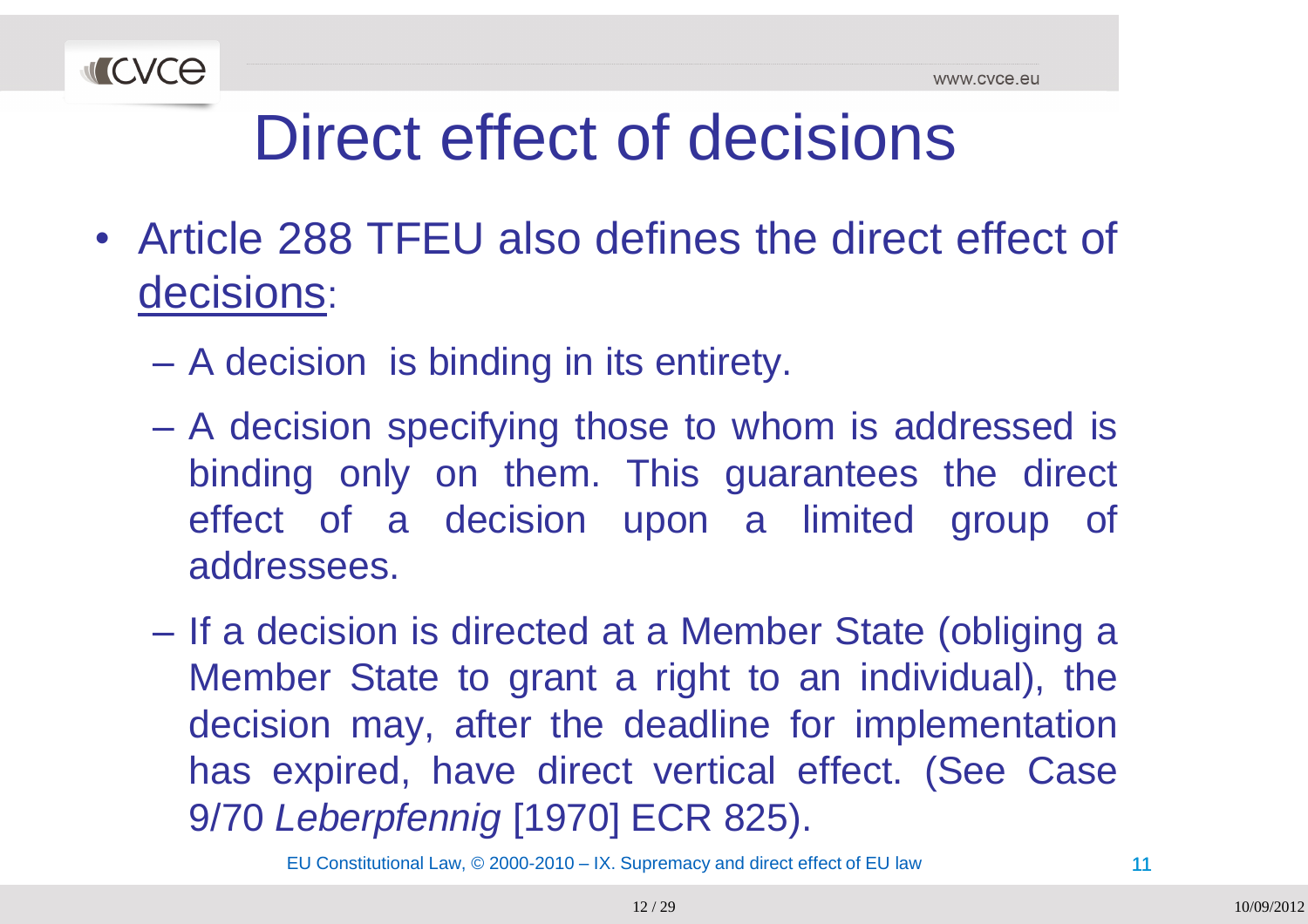

# Direct effect of decisions

- Article <sup>288</sup> TFEU also defines the direct effect of decisions:
	- $\mathcal{L}_{\mathcal{A}}$  , and the set of  $\mathcal{L}_{\mathcal{A}}$ <sup>A</sup> decision is binding in its entirety.
	- –A decision specifying those to whom is addressed is<br>hinding only an them. This guarantees the direct binding only on them. This guarantees the direct effect of <sup>a</sup> decision upon <sup>a</sup> limited group of addressees.
	- –- If a decision is directed at a Member State (obliging a Member State to grant <sup>a</sup> right to an individual), the decision may, after the deadline for implementation has expired, have direct vertical effect. (See Case 9/70 *Leberpfennig* [1970] ECR 825).

EU Constitutional Law, © 2000-2010 – IX. Supremacy and direct effect of EU law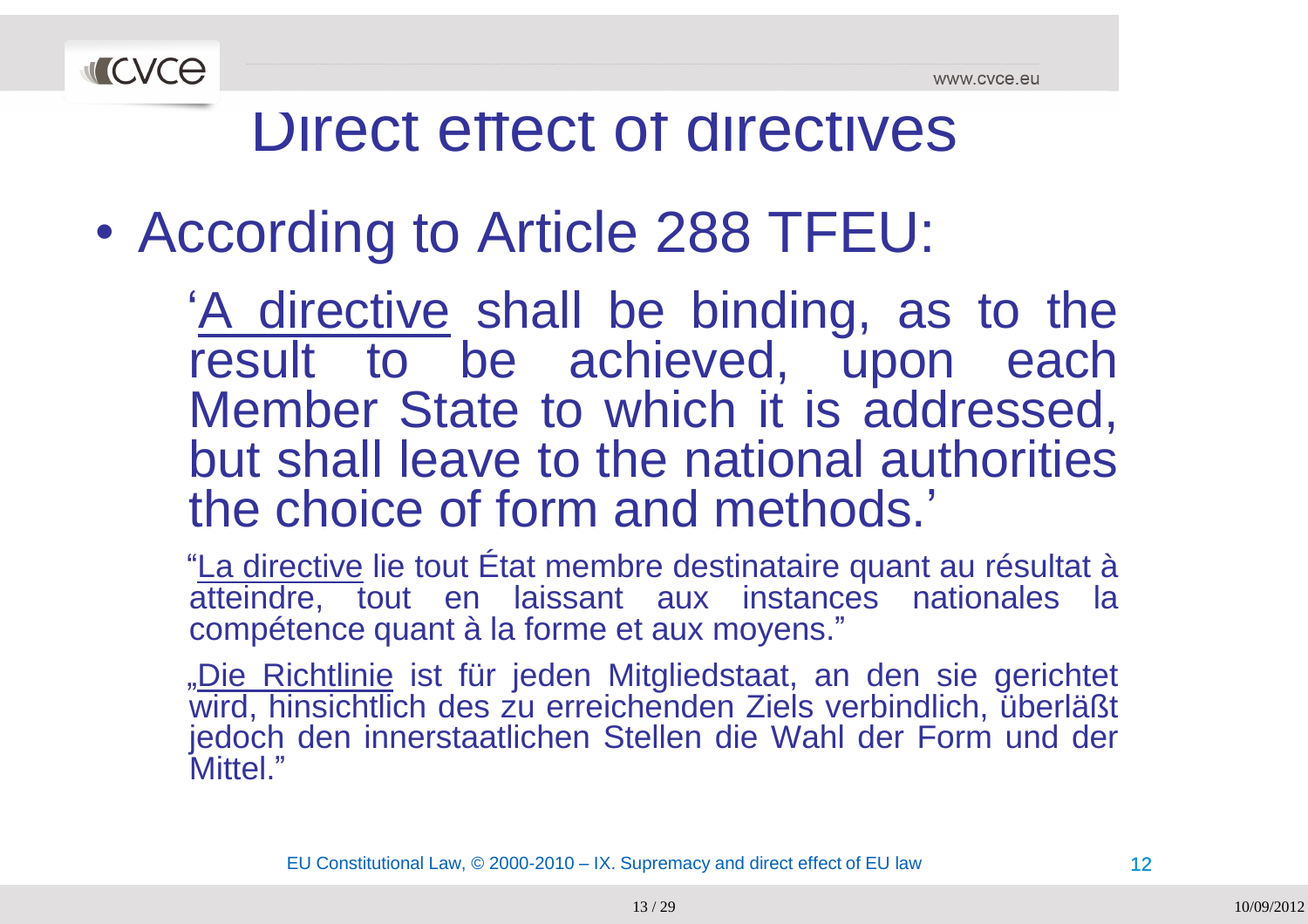

 $\bullet$ According to Article <sup>288</sup> TFEU:

> A directive shall be binding, as to the<br>result to be achieved upon each result to be achieved, upon each<br>Member State to which it is addressed Member State to which it is addressed,<br>but aboll loove to the potional outhorities but shall leave to the national authorities the choice of form and methods.'<br>"I a directive lie tout État membre destinataire quant

> "La directive lie tout État membre destinataire quant au résultat à atteindre, tout en laissant aux instances nationales la<br>compétence quant à la farme et aux mayens." compétence quant <sup>à</sup> la forme et aux moyens."

> "Die Richtlinie ist für jeden Mitgliedstaat, an den sie gerichtet wird, hinsichtlich des zu erreichenden Ziels verbindlich, überläßt<br>iedeeb den innersteetlichen Stellen die WebLder Ferm und der jedoch den innerstaatlichen Stellen die Wahl der Form und der<br>Mittel " Mittel."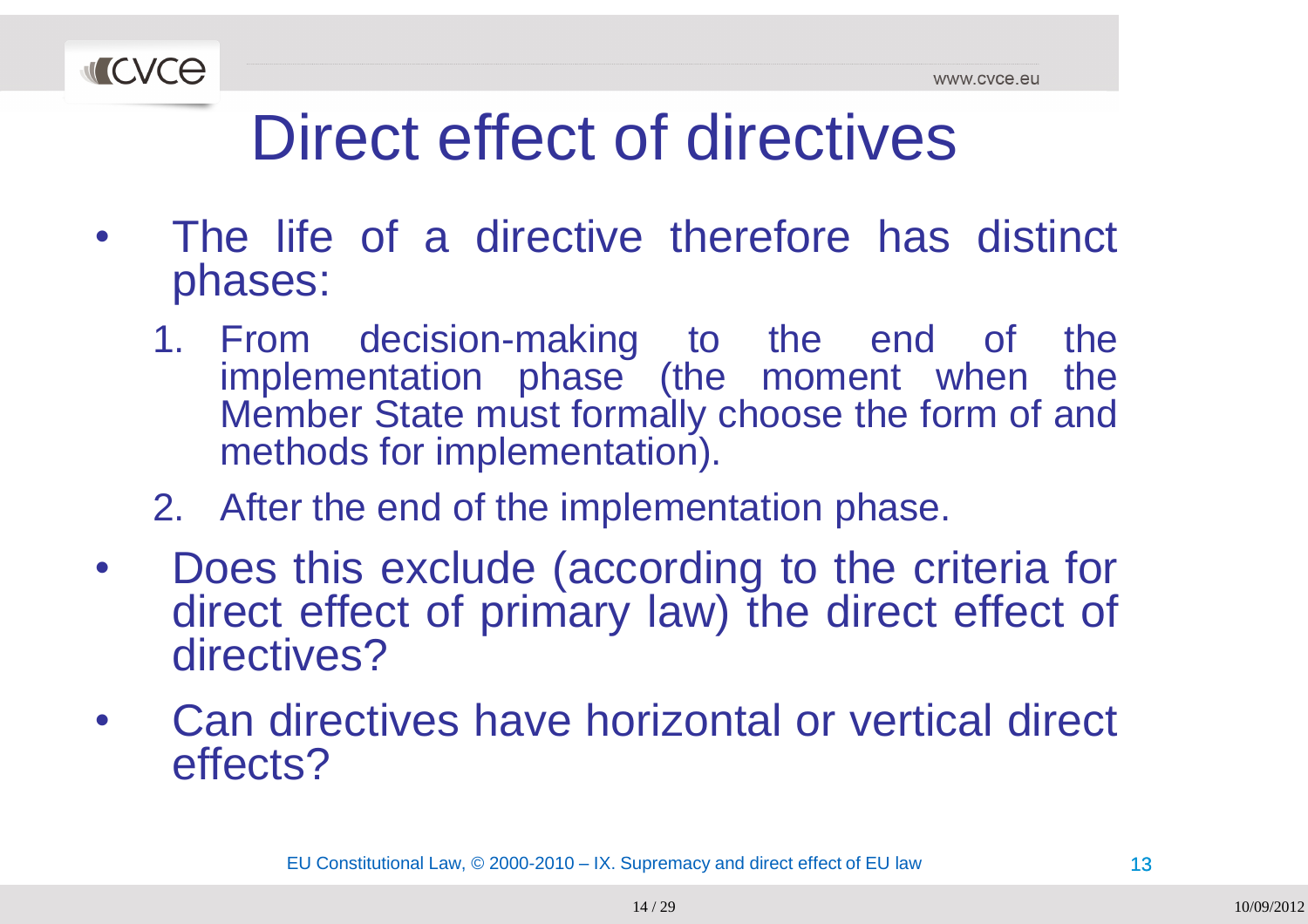

- $\bullet$  The life of <sup>a</sup> directive therefore has distinct phases:
	- 1. From decision-making to the end of the implementation phase (the moment when the<br>Member State must farmally shases the farm of and Member State must formally choose the form of and<br>methods for implementation) methods for implementation).
	- 2. After the end of the implementation phase.
- $\bullet$ • Does this exclude (according to the criteria for<br>direct effect of primary loud the direct effect of direct effect of primary law) the direct effect of directives?
- •• Can directives have horizontal or vertical direct effects?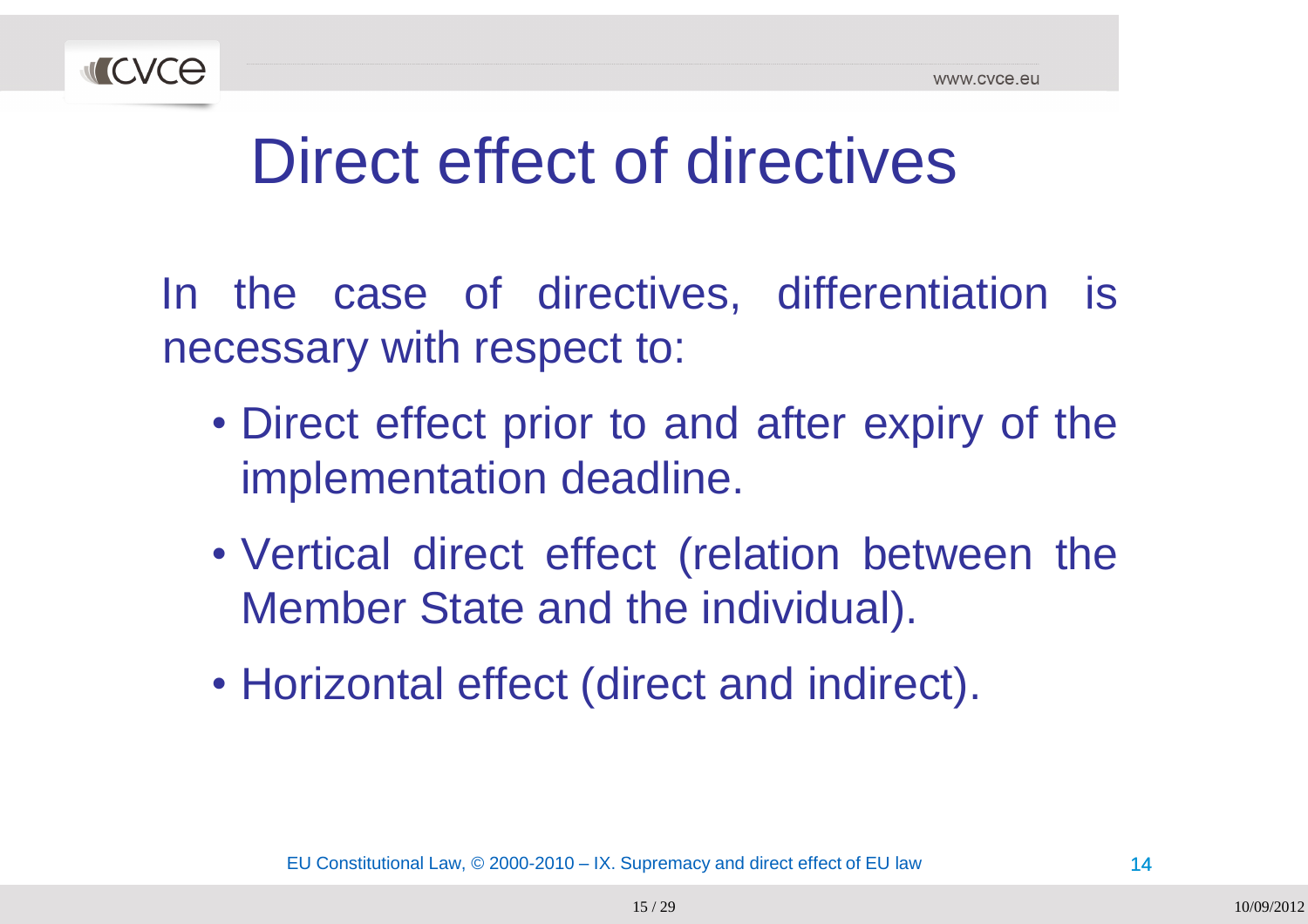

In the case of directives, differentiation is necessary with respect to:

- Direct effect prior to and after expiry of the implementation deadline.
- Vertical direct effect (relation between the Member State and the individual).
- Horizontal effect (direct and indirect).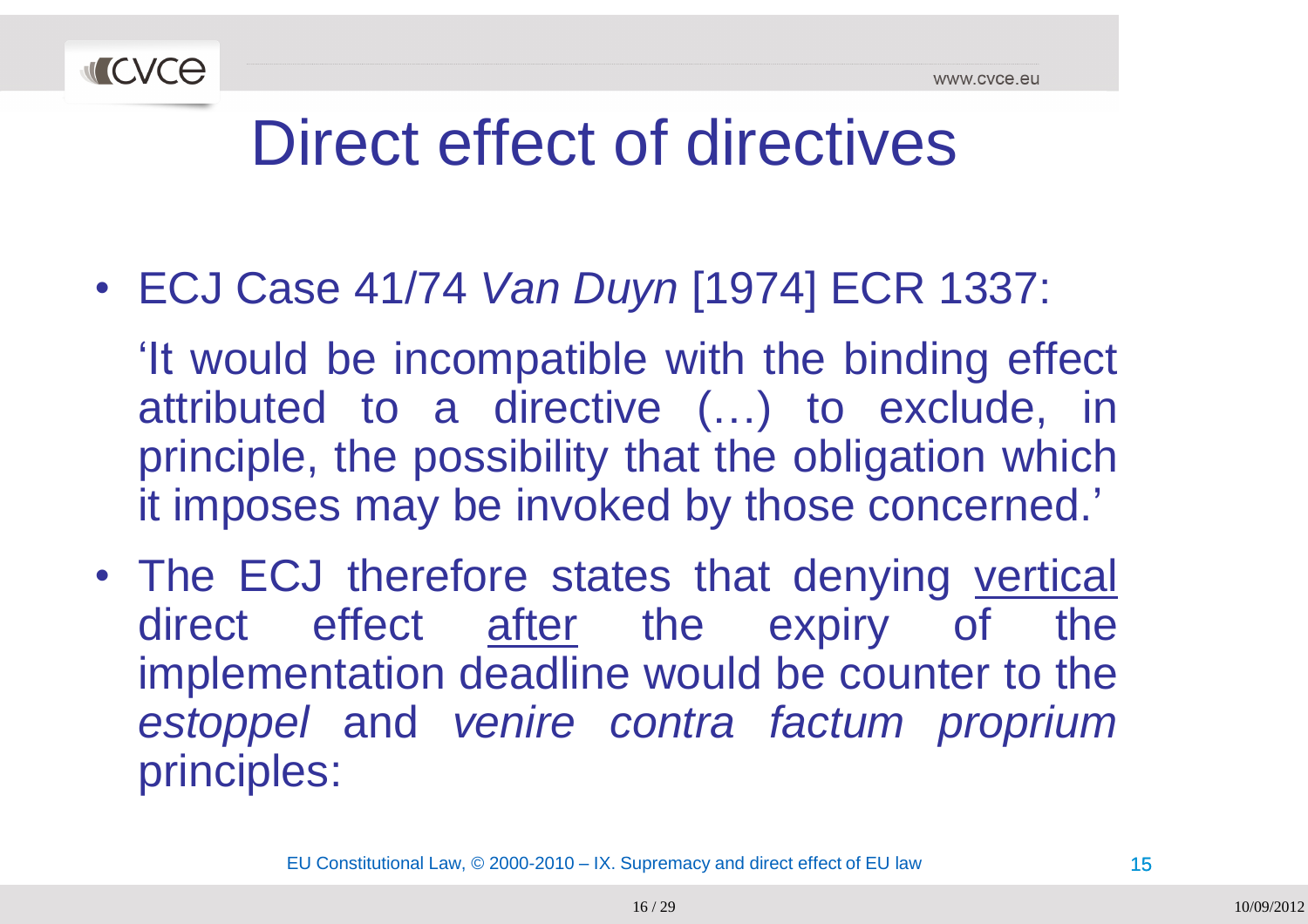

• ECJ Case 41/74 *Van Duyn* [1974] ECR 1337:

"It would be incompatible with the binding effect attributed to <sup>a</sup> directive (…) to exclude, in principle, the possibility that the obligation which it imposes may be invoked by those concerned.'

• The ECJ therefore states that denying vertical direct effect after the expiry of the implementation deadline would be counter to the *estoppel* and *venire contra factum proprium* principles: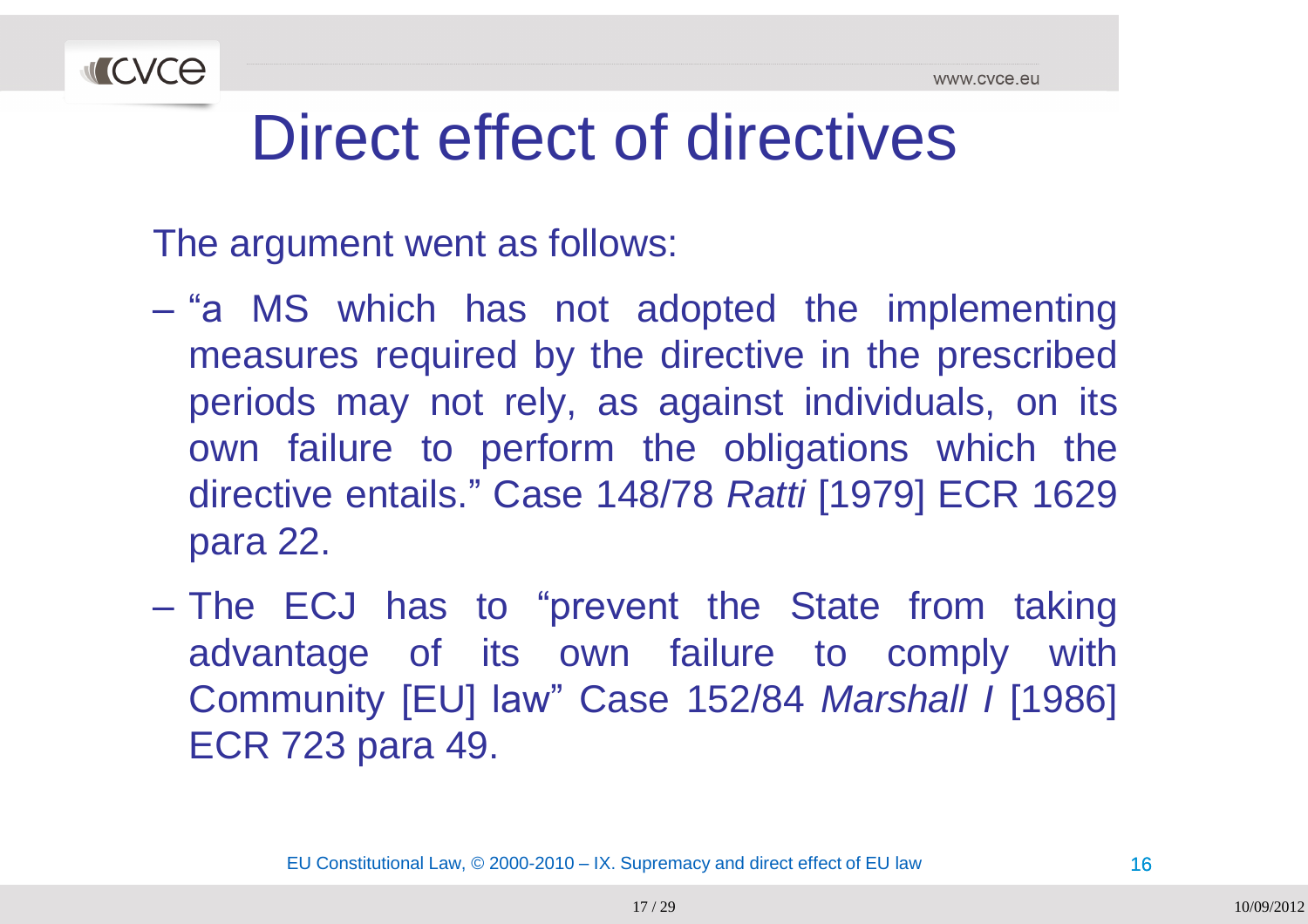

The argument went as follows:

- $\mathcal{L}_{\mathcal{A}}$  , and the set of  $\mathcal{L}_{\mathcal{A}}$ - "a MS which has not adopted the implementing measures required by the directive in the prescribed periods may not rely, as against individuals, on its own failure to perform the obligations which the<br>directive entails " Case 148/78 Betti [1070] ECB 1630 directive entails." Case 148/78 *Ratti* [1979] ECR <sup>1629</sup> para 22.
- –The ECJ has to "prevent the State from taking<br>edventese of its own foilure to comply with advantage of its own failure to comply with Community [EU] law" Case 152/84 *Marshall <sup>I</sup>* [1986] ECR <sup>723</sup> para 49.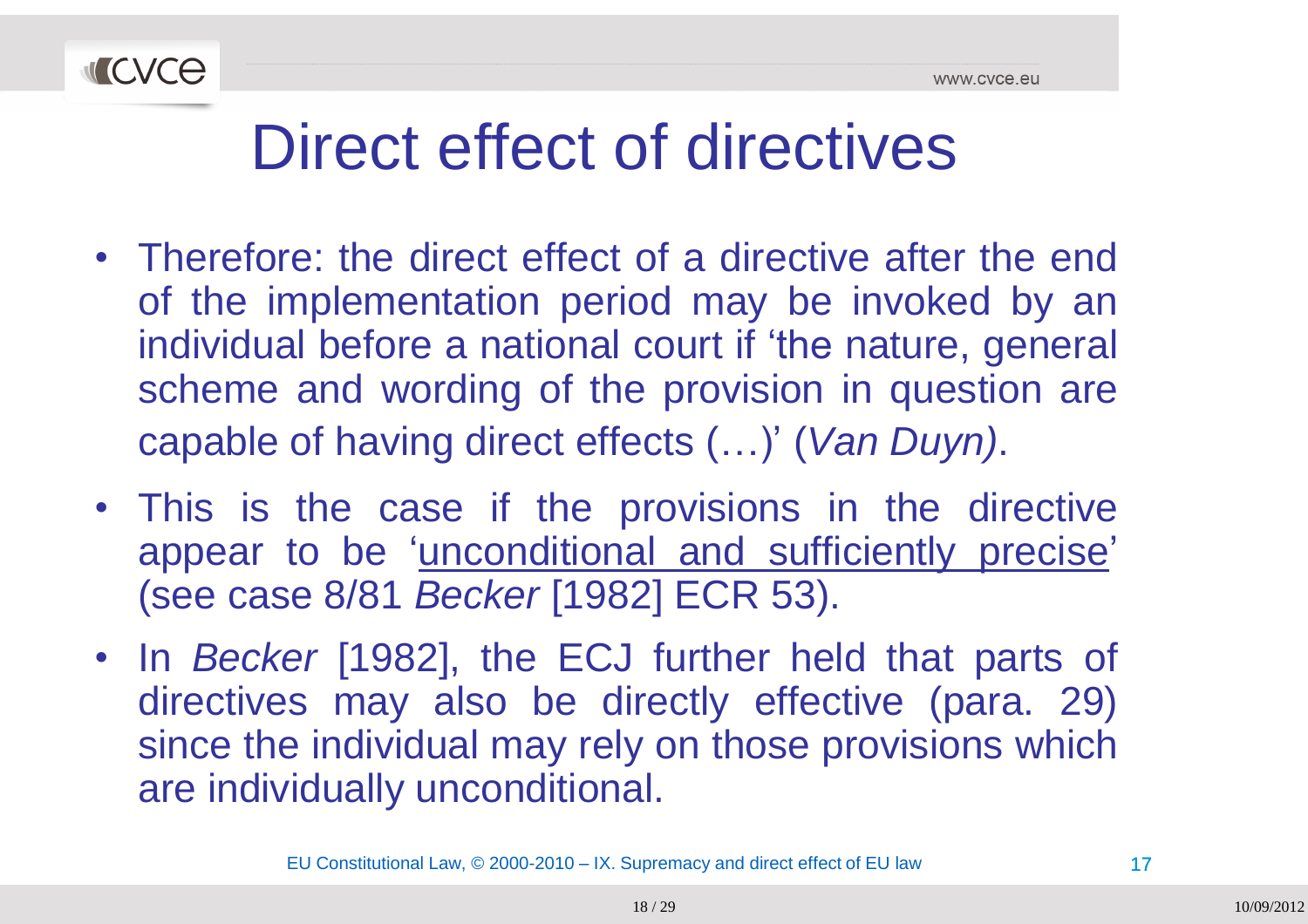

- Therefore: the direct effect of <sup>a</sup> directive after the end of the implementation period may be invoked by an individual before a national court if 'the nature, general scheme and wording of the provision in question are capable of having direct effects (…)" (*Van Duyn)*.
- This is the case if the provisions in the directive appear to be 'unconditional and sufficiently precise' (see case 8/81 *Becker* [1982] ECR 53).
- In *Becker* [1982], the ECJ further held that parts of directives may also be directly effective (para. 29) since the individual may rely on those provisions which are individually unconditional.

EU Constitutional Law, © 2000-2010 – IX. Supremacy and direct effect of EU law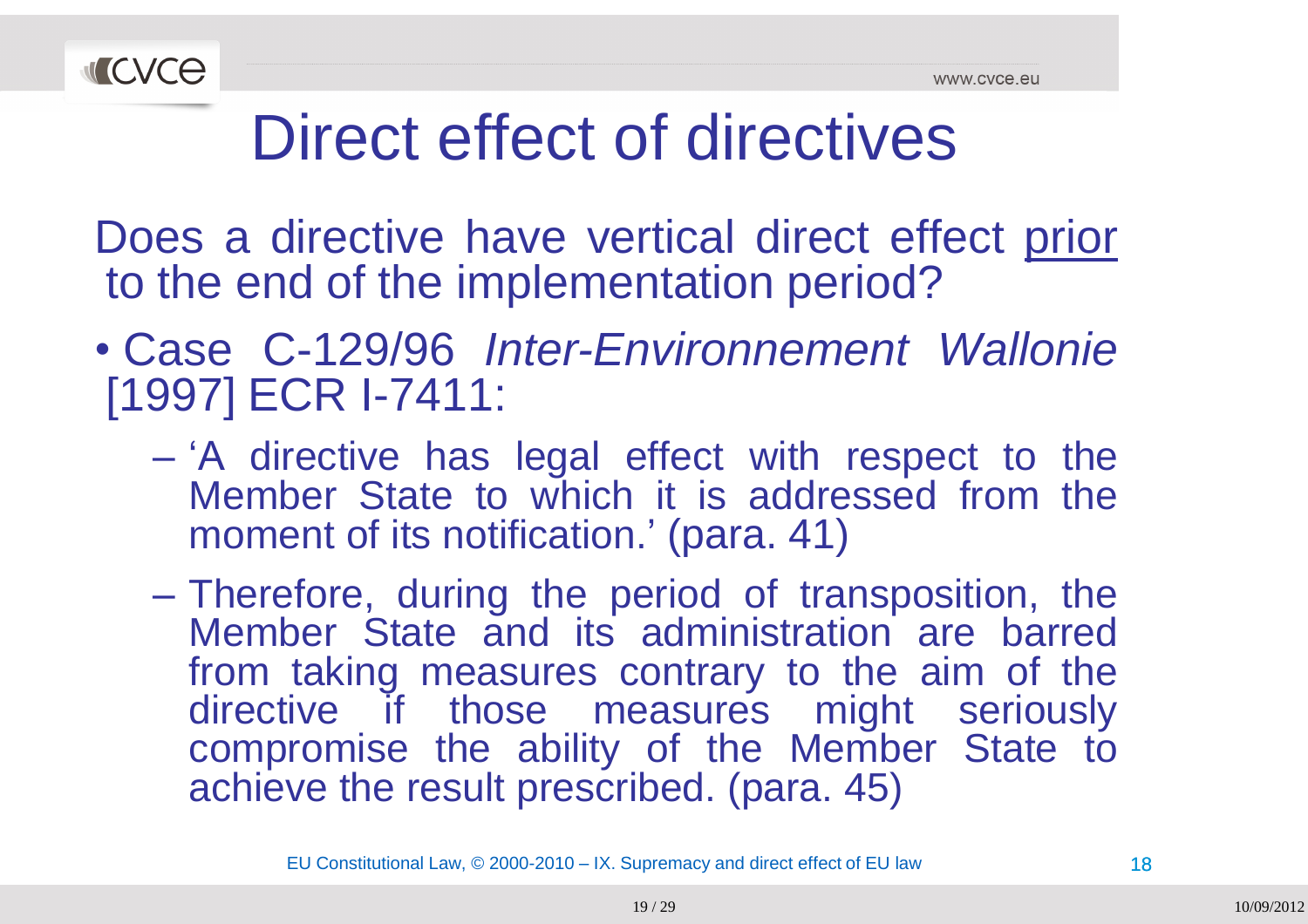

Does a directive have vertical direct effect prior to the end of the implementation period?

- Case C-129/96 *Inter-Environnement Wallonie* [1997] ECR I-7411:
	- –- 'A directive has legal effect with respect to the<br>Member State to which it is addressed from the Member State to which it is addressed from the<br>moment of its notification ' (para 41) moment of its notification." (para. 41)
	- Therefore, during the period of transposition, the Member State and its administration are barred<br>from taking masseures contrary to the aim of the from taking measures contrary to the aim of the<br>directive if those measures might seriously directive if those measures might seriously compromise the ability of the Member State to achieve the result prescribed. (para. 45)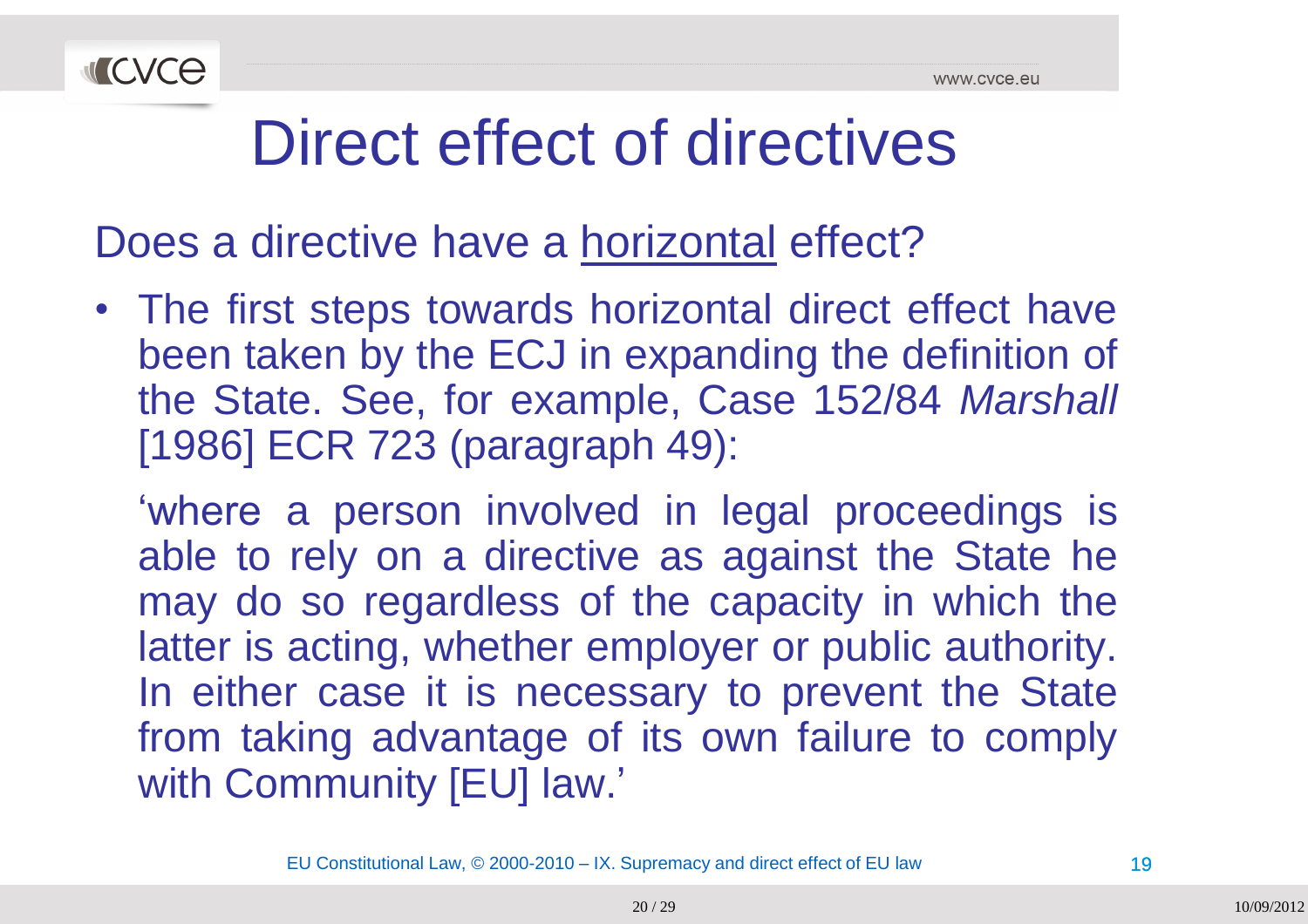

Does a directive have a <u>horizontal</u> effect?

• The first steps towards horizontal direct effect have been taken by the ECJ in expanding the definition of the State. See, for example, Case 152/84 *Marshall* [1986] ECR <sup>723</sup> (paragraph 49):

"where <sup>a</sup> person involved in legal proceedings is able to rely on a directive as against the State he may do so regardless of the capacity in which the latter is acting, whether employer or public authority. In either case it is necessary to prevent the State from taking advantage of its own failure to comply<br>with Community [ELILLaw,' with Community [EU] law.'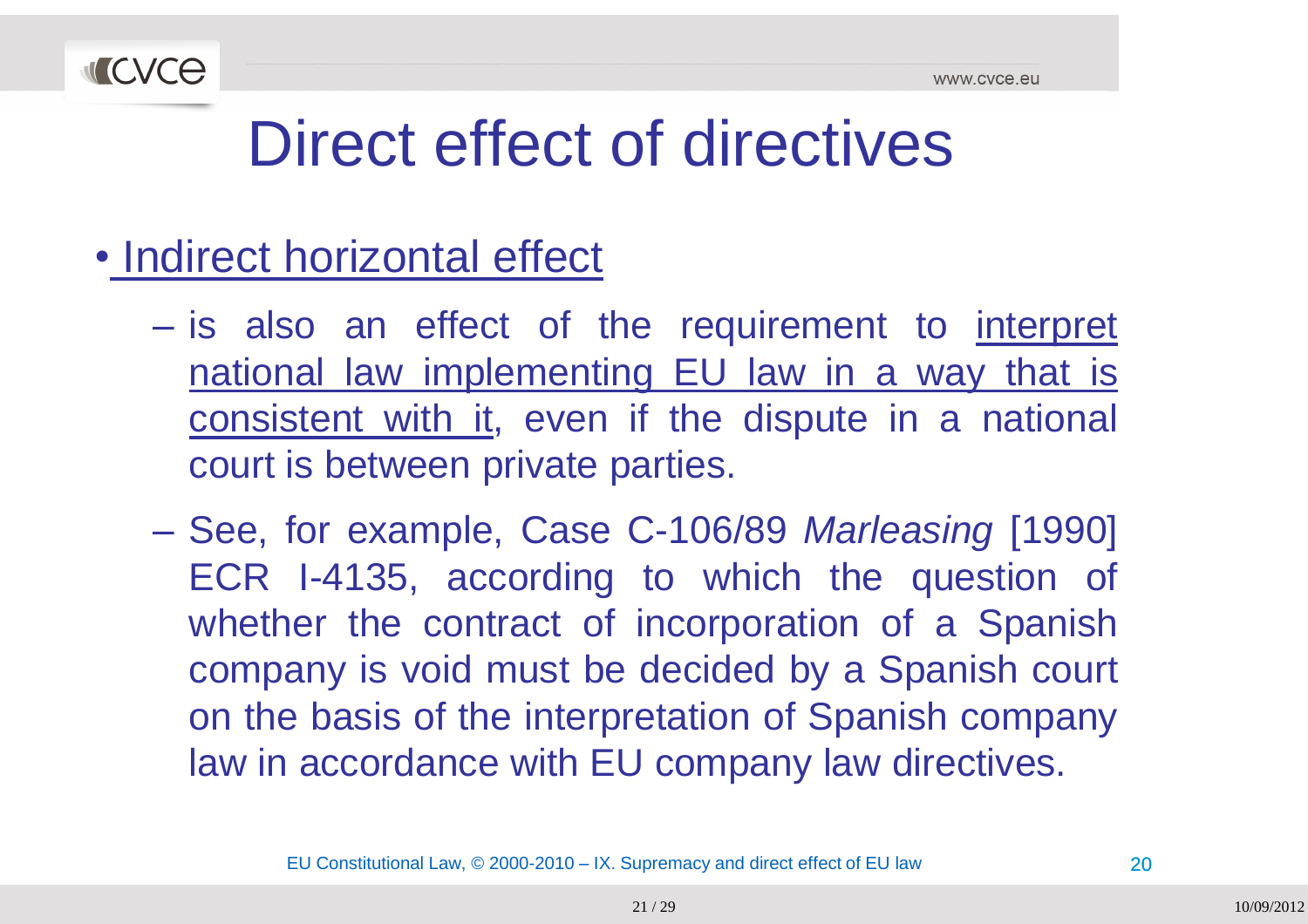

- Indirect horizontal effect
	- –- is also an effect of the requirement to interpret national law implementing EU law in a way that is consistent with it, even if the dispute in <sup>a</sup> national court is between private parties.
	- – See, for example, Case C-106/89 *Marleasing* [1990] ECR I-4135, according to which the question of whether the contract of incorporation of a Spanish company is void must be decided by <sup>a</sup> Spanish court on the basis of the interpretation of Spanish company law in accordance with EU company law directives.

EU Constitutional Law, © 2000-2010 – IX. Supremacy and direct effect of EU law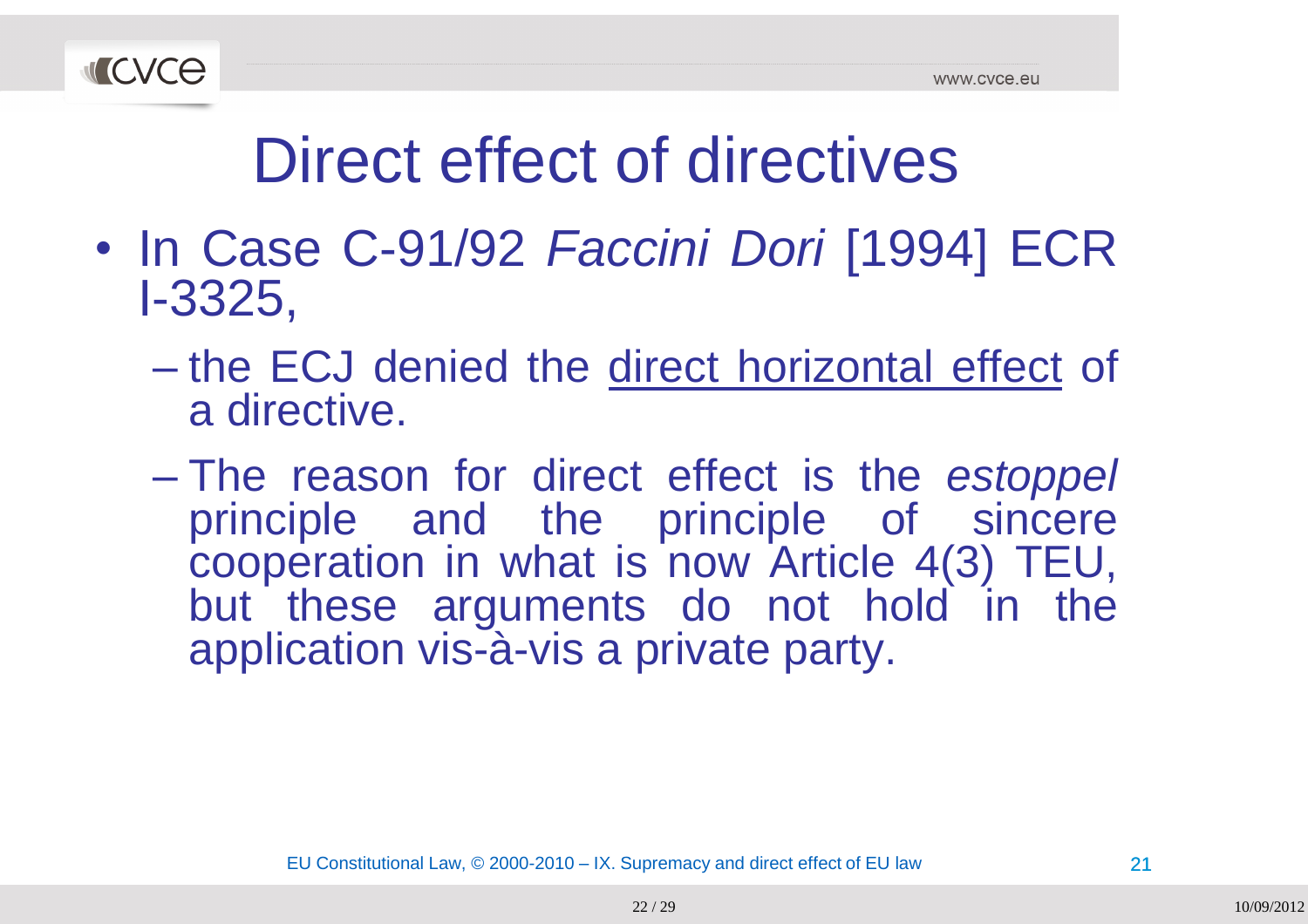

- In Case C-91/92 *Faccini Dori* [1994] ECRI-3325,
	- –- the ECJ denied the direct horizontal effect of a directive.
	- $\mathcal{L}_{\mathcal{A}}$  , and the set of the set of the set of the set of the set of the set of the set of the set of the set of the set of the set of the set of the set of the set of the set of the set of the set of the set of th The reason for direct effect is the *estoppel* principle and the principle of sincere cooperation in what is now Article 4(3) TEU, but these arguments do not hold in the application vis-à-vis <sup>a</sup> private party.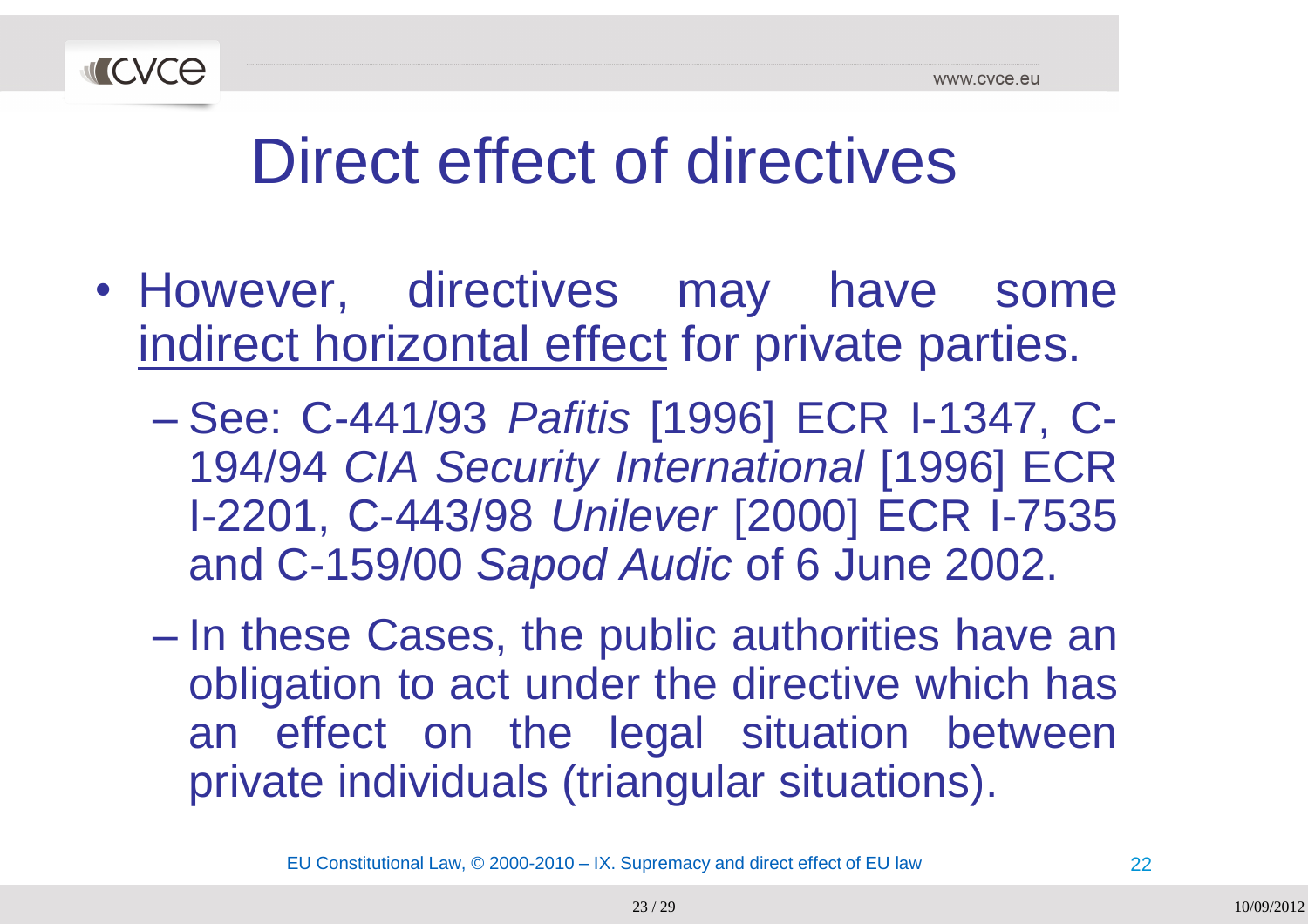

- However, directives may have some indirect horizontal effect for private parties.
	- $\mathcal{L}_{\mathcal{A}}$  , and the set of the set of the set of the set of the set of the set of the set of the set of the set of the set of the set of the set of the set of the set of the set of the set of the set of the set of th See: C-441/93 *Pafitis* [1996] ECR I-1347, C-194/94 *CIA Security International* [1996] ECRI-2201, C-443/98 *Unilever* [2000] ECR I-7535 and C-159/00 *Sapod Audic* of <sup>6</sup> June 2002.
	- $\mathcal{L}_{\mathcal{A}}$  , and the set of the set of the set of the set of the set of the set of the set of the set of the set of the set of the set of the set of the set of the set of the set of the set of the set of the set of th - In these Cases, the public authorities have an obligation to act under the directive which has an effect on the legal situation between private individuals (triangular situations).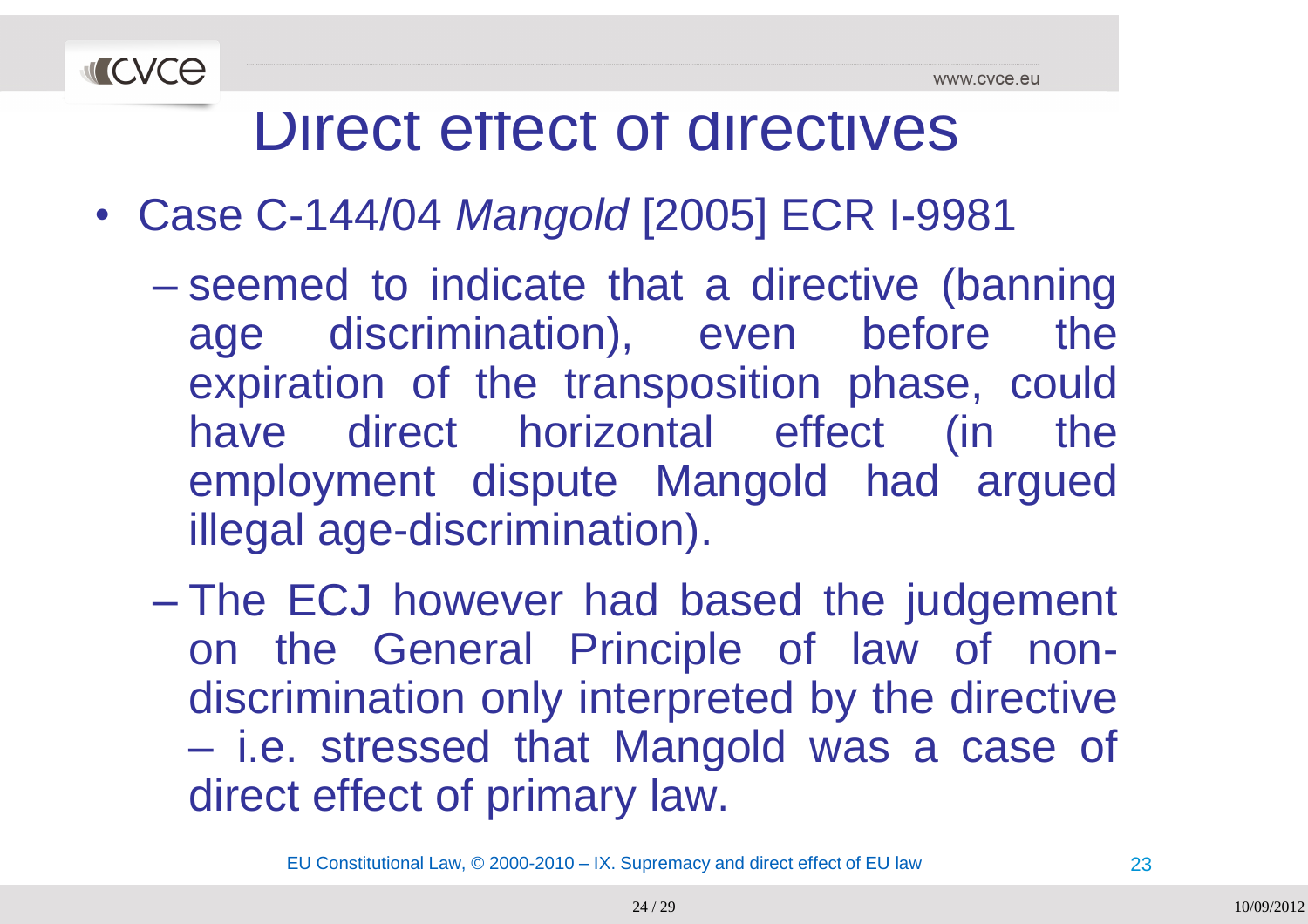

- Case C-144/04 *Mangold* [2005] ECR I-9981
	- $\mathcal{L}_{\mathcal{A}}$  , and the set of the set of the set of the set of the set of the set of the set of the set of the set of the set of the set of the set of the set of the set of the set of the set of the set of the set of th - seemed to indicate that a directive (banning age discrimination), even before the expiration of the transposition phase, could have direct horizontal effect (in the employment dispute Mangold had argued illegal age-discrimination).
	- $\mathcal{L}_{\mathcal{A}}$  , and the set of the set of the set of the set of the set of the set of the set of the set of the set of the set of the set of the set of the set of the set of the set of the set of the set of the set of th - The ECJ however had based the judgement on the General Principle of law of non-<br>discrimination only interpreted by the directive discrimination only interpreted by the directive – i.e. stressed that Mangold was <sup>a</sup> case of direct effect of primary law.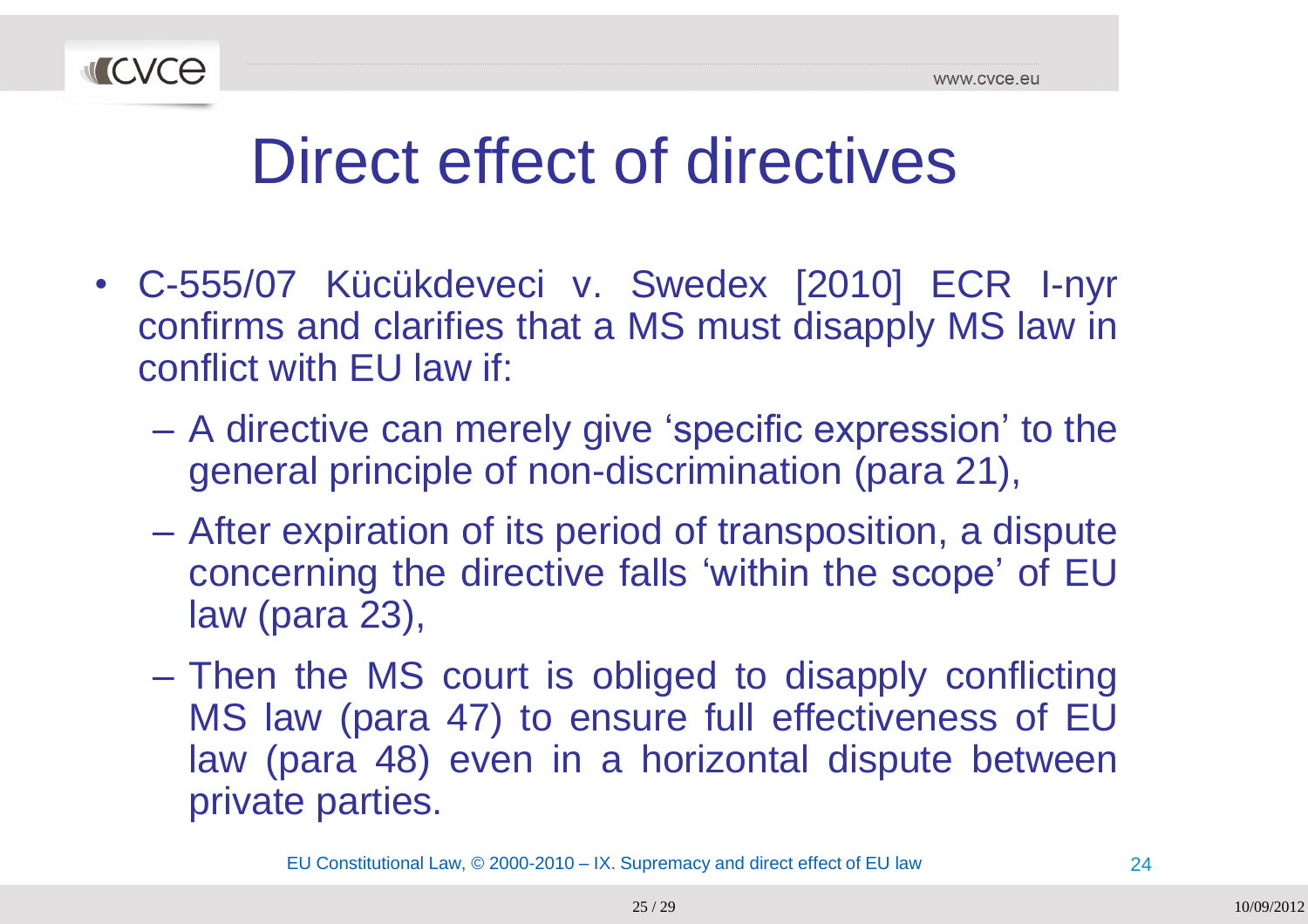

- C-555/07 Kücükdeveci v. Swedex [2010] ECR I-nyr confirms and clarifies that a MS must disapply MS law in<br>conflict with ELLlow if: conflict with EU law if:
	- –- A directive can merely give 'specific expression' to the general principle of non-discrimination (para 21),
	- –- After expiration of its period of transposition, a dispute concerning the directive falls "within the scope" of EUlaw (para 23),
	- $\mathcal{L}_{\mathcal{A}}$  , and the set of  $\mathcal{L}_{\mathcal{A}}$ - Then the MS court is obliged to disapply conflicting MS law (para 47) to ensure full effectiveness of EU<br>low (para 48) avon in a berizental dispute between law (para 48) even in a horizontal dispute between<br>privete parties private parties.

EU Constitutional Law, © 2000-2010 – IX. Supremacy and direct effect of EU law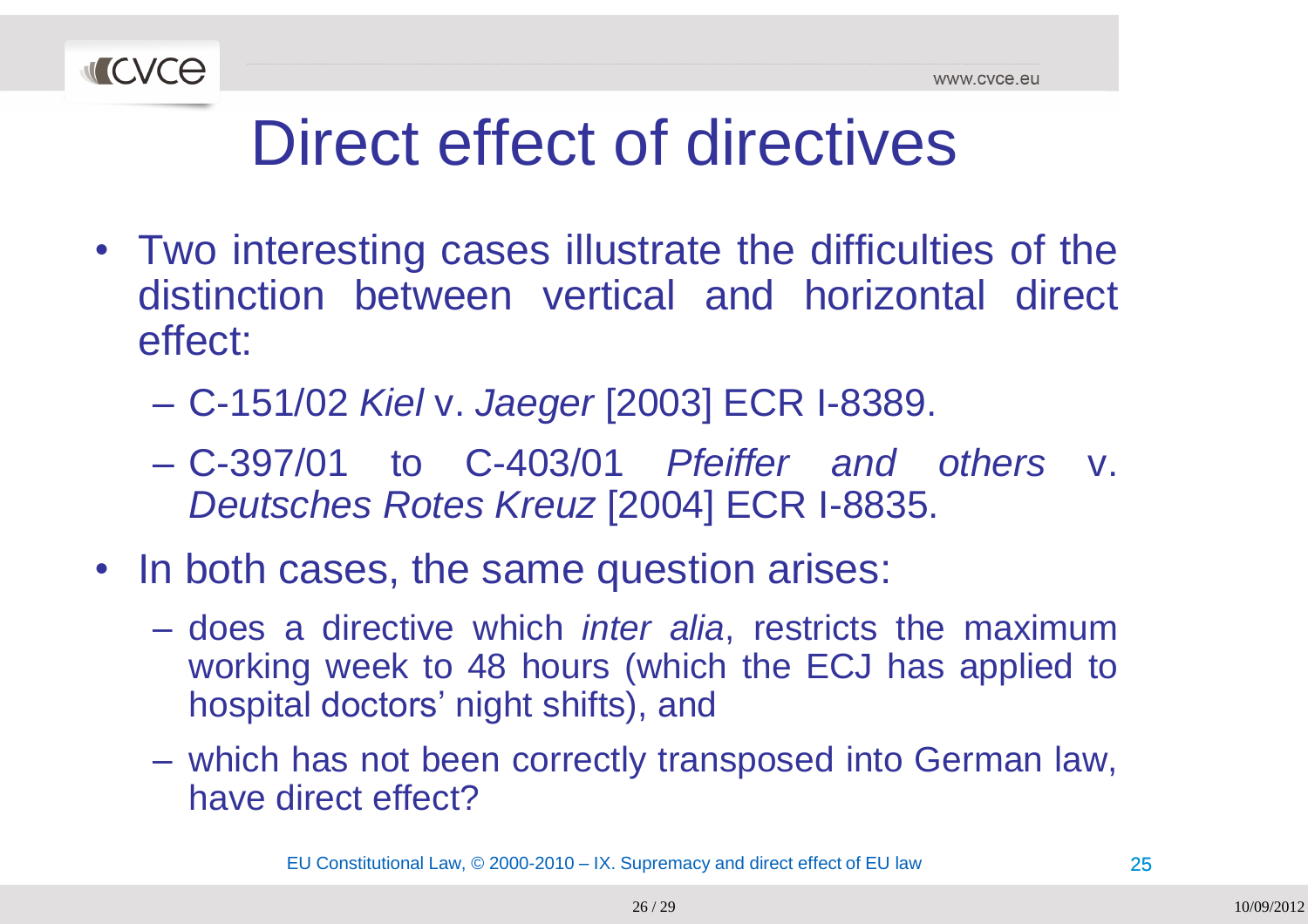

- Two interesting cases illustrate the difficulties of the distinction between vertical and horizontal direct effect:
	- –C-151/02 *Kiel* v. *Jaeger* [2003] ECR I-8389.
	- – C-397/01 to C-403/01 *Pfeiffer and others* v. *Deutsches Rotes Kreuz* [2004] ECR I-8835.
- In both cases, the same question arises:
	- does <sup>a</sup> directive which *inter alia*, restricts the maximumworking week to <sup>48</sup> hours (which the ECJ has applied to hospital doctors' night shifts), and
	- which has not been correctly transposed into German law, have direct effect?

EU Constitutional Law, © 2000-2010 – IX. Supremacy and direct effect of EU law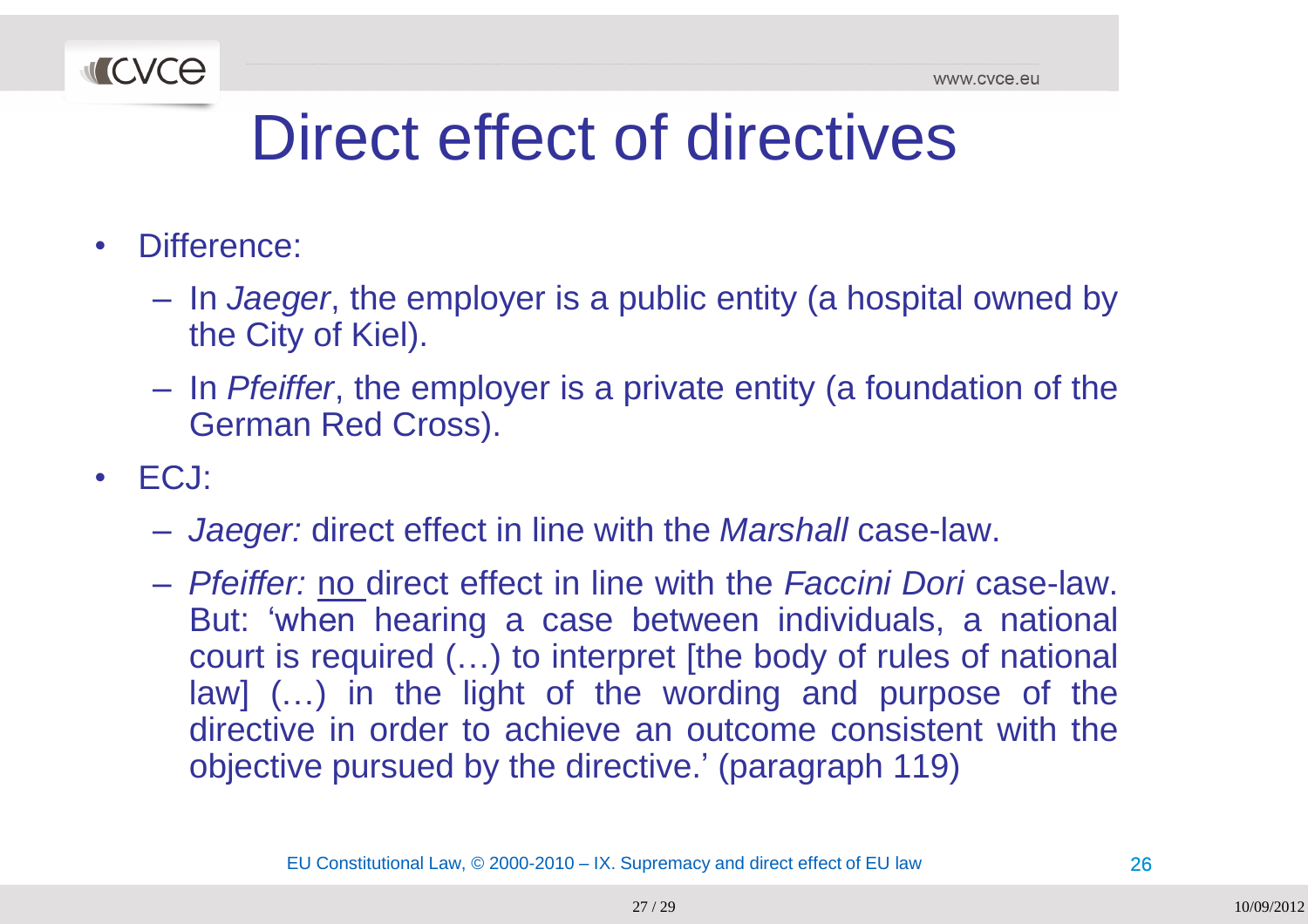

- •Difference:
	- In *Jaeger*, the employer is <sup>a</sup> public entity (a hospital owned by the City of Kiel).
	- In *Pfeiffer*, the employer is a private entity (a foundation of the German Red Cross).
- • ECJ:
	- *Jaeger:* direct effect in line with the *Marshall* case-law.
	- *Pfeiffer:* no direct effect in line with the *Faccini Dori* case-law. But: 'when hearing a case between individuals, a national court is required (…) to interpret [the body of rules of national law] (...) in the light of the wording and purpose of the directive in order to achieve an outcome consistent with the objective pursued by the directive." (paragraph 119)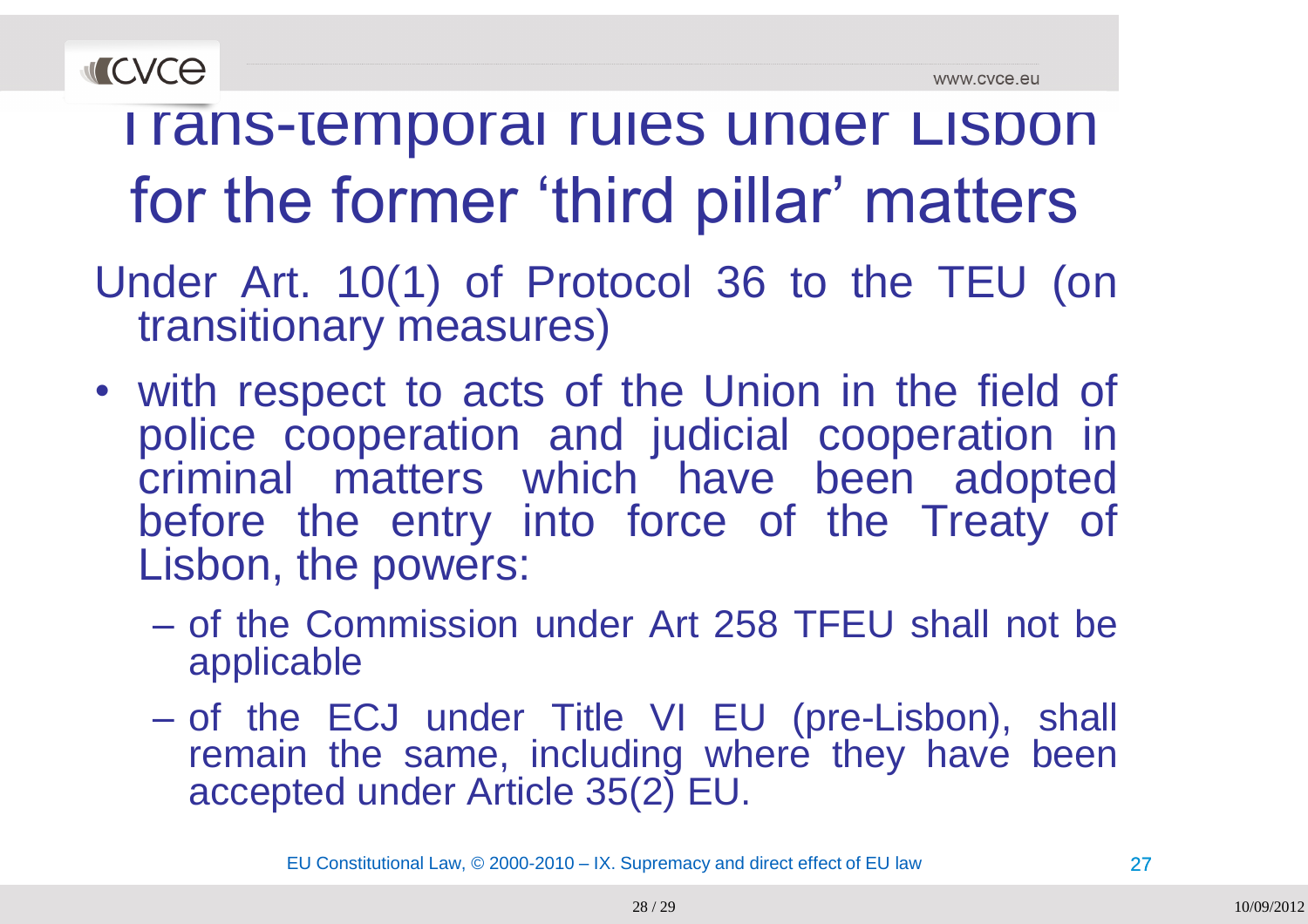



#### I rans-temporal rules under Lisbon for the former 'third pillar' matters

- Under Art. 10(1) of Protocol <sup>36</sup> to the TEU (on transitionary measures)
- with respect to acts of the Union in the field of police cooperation and judicial cooperation in criminal matters which have been adopted<br>hefere the entry inte feree of the Treety of before the entry into force of the Treaty of Lisbon, the powers:
	- $\mathcal{L}_{\mathcal{A}}$  , and the set of  $\mathcal{L}_{\mathcal{A}}$ of the Commission under Art 258 TFEU shall not be<br>applicable applicable
	- $\mathcal{L}_{\mathcal{A}}$  , and the set of  $\mathcal{L}_{\mathcal{A}}$  of the ECJ under Title VI EU (pre-Lisbon), shall remain the same, including where they have been<br>eseented under Article 35(3)  $\Gamma U$ accepted under Article 35(2) EU.